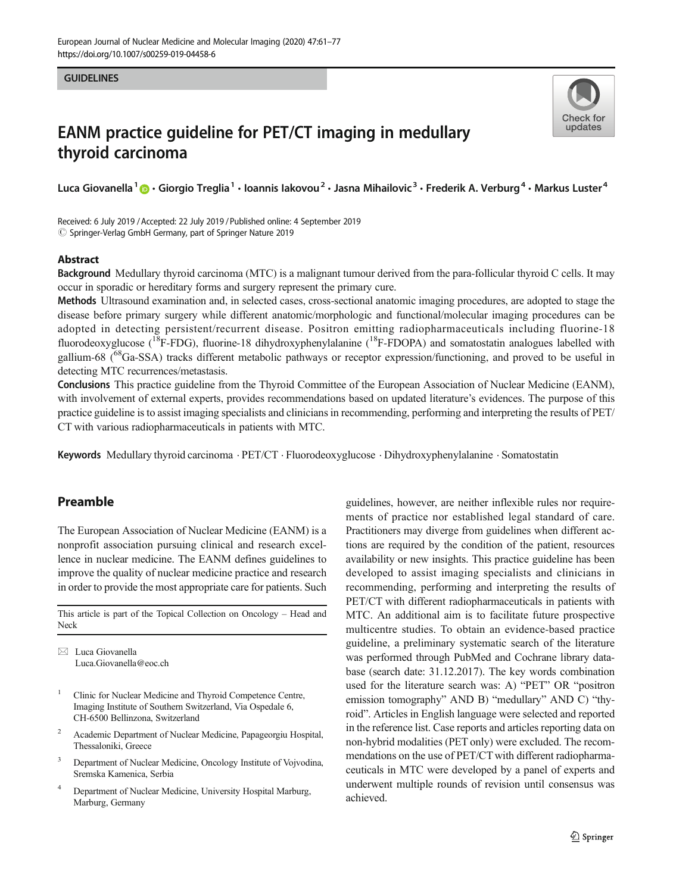#### **GUIDELINES**



# EANM practice guideline for PET/CT imaging in medullary thyroid carcinoma

Luca Giovanella<sup>1</sup> @ · Giorgio Treglia<sup>1</sup> · Ioannis Iakovou<sup>2</sup> · Jasna Mihailovic<sup>3</sup> · Frederik A. Verburg<sup>4</sup> · Markus Luster<sup>4</sup>

Received: 6 July 2019 /Accepted: 22 July 2019 /Published online: 4 September 2019 $\oslash$  Springer-Verlag GmbH Germany, part of Springer Nature 2019

#### Abstract

Background Medullary thyroid carcinoma (MTC) is a malignant tumour derived from the para-follicular thyroid C cells. It may occur in sporadic or hereditary forms and surgery represent the primary cure.

Methods Ultrasound examination and, in selected cases, cross-sectional anatomic imaging procedures, are adopted to stage the disease before primary surgery while different anatomic/morphologic and functional/molecular imaging procedures can be adopted in detecting persistent/recurrent disease. Positron emitting radiopharmaceuticals including fluorine-18 fluorodeoxyglucose ( $^{18}$ F-FDG), fluorine-18 dihydroxyphenylalanine ( $^{18}$ F-FDOPA) and somatostatin analogues labelled with gallium-68 (68Ga-SSA) tracks different metabolic pathways or receptor expression/functioning, and proved to be useful in detecting MTC recurrences/metastasis.

Conclusions This practice guideline from the Thyroid Committee of the European Association of Nuclear Medicine (EANM), with involvement of external experts, provides recommendations based on updated literature's evidences. The purpose of this practice guideline is to assist imaging specialists and clinicians in recommending, performing and interpreting the results of PET/ CT with various radiopharmaceuticals in patients with MTC.

Keywords Medullary thyroid carcinoma . PET/CT . Fluorodeoxyglucose . Dihydroxyphenylalanine . Somatostatin

## Preamble

The European Association of Nuclear Medicine (EANM) is a nonprofit association pursuing clinical and research excellence in nuclear medicine. The EANM defines guidelines to improve the quality of nuclear medicine practice and research in order to provide the most appropriate care for patients. Such

This article is part of the Topical Collection on Oncology – Head and Neck

 $\boxtimes$  Luca Giovanella [Luca.Giovanella@eoc.ch](mailto:Luca.Giovanella@eoc.ch)

- <sup>1</sup> Clinic for Nuclear Medicine and Thyroid Competence Centre, Imaging Institute of Southern Switzerland, Via Ospedale 6, CH-6500 Bellinzona, Switzerland
- <sup>2</sup> Academic Department of Nuclear Medicine, Papageorgiu Hospital, Thessaloniki, Greece
- <sup>3</sup> Department of Nuclear Medicine, Oncology Institute of Vojvodina, Sremska Kamenica, Serbia
- <sup>4</sup> Department of Nuclear Medicine, University Hospital Marburg, Marburg, Germany

guidelines, however, are neither inflexible rules nor requirements of practice nor established legal standard of care. Practitioners may diverge from guidelines when different actions are required by the condition of the patient, resources availability or new insights. This practice guideline has been developed to assist imaging specialists and clinicians in recommending, performing and interpreting the results of PET/CT with different radiopharmaceuticals in patients with MTC. An additional aim is to facilitate future prospective multicentre studies. To obtain an evidence-based practice guideline, a preliminary systematic search of the literature was performed through PubMed and Cochrane library database (search date: 31.12.2017). The key words combination used for the literature search was: A) "PET" OR "positron emission tomography" AND B) "medullary" AND C) "thyroid". Articles in English language were selected and reported in the reference list. Case reports and articles reporting data on non-hybrid modalities (PET only) were excluded. The recommendations on the use of PET/CT with different radiopharmaceuticals in MTC were developed by a panel of experts and underwent multiple rounds of revision until consensus was achieved.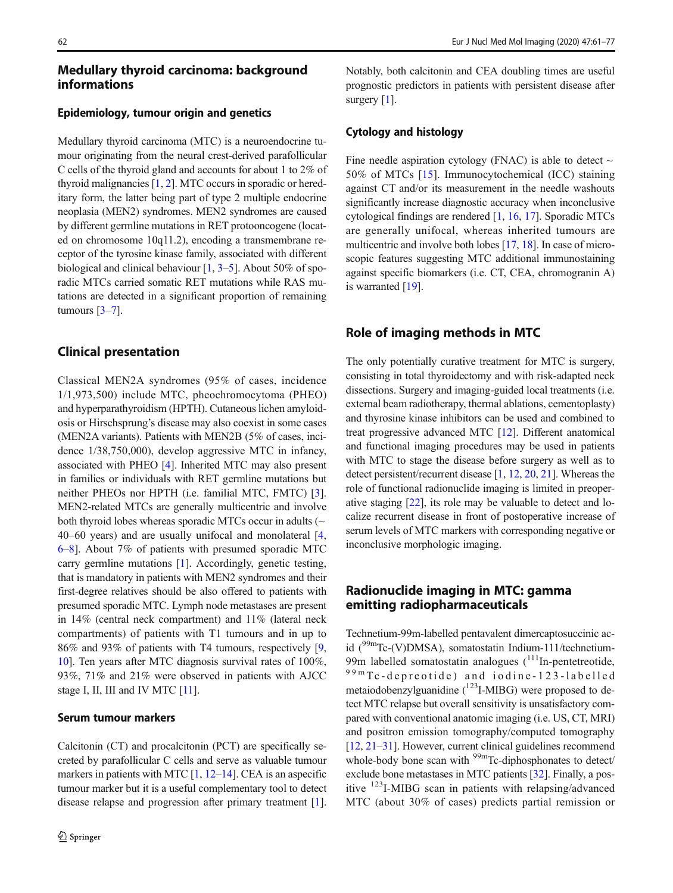## Medullary thyroid carcinoma: background informations

#### Epidemiology, tumour origin and genetics

Medullary thyroid carcinoma (MTC) is a neuroendocrine tumour originating from the neural crest-derived parafollicular C cells of the thyroid gland and accounts for about 1 to 2% of thyroid malignancies [\[1](#page-13-0), [2\]](#page-13-0). MTC occurs in sporadic or hereditary form, the latter being part of type 2 multiple endocrine neoplasia (MEN2) syndromes. MEN2 syndromes are caused by different germline mutations in RET protooncogene (located on chromosome 10q11.2), encoding a transmembrane receptor of the tyrosine kinase family, associated with different biological and clinical behaviour  $[1, 3-5]$  $[1, 3-5]$  $[1, 3-5]$  $[1, 3-5]$  $[1, 3-5]$  $[1, 3-5]$  $[1, 3-5]$ . About 50% of sporadic MTCs carried somatic RET mutations while RAS mutations are detected in a significant proportion of remaining tumours  $[3-7]$  $[3-7]$  $[3-7]$  $[3-7]$  $[3-7]$ .

### Clinical presentation

Classical MEN2A syndromes (95% of cases, incidence 1/1,973,500) include MTC, pheochromocytoma (PHEO) and hyperparathyroidism (HPTH). Cutaneous lichen amyloidosis or Hirschsprung's disease may also coexist in some cases (MEN2A variants). Patients with MEN2B (5% of cases, incidence 1/38,750,000), develop aggressive MTC in infancy, associated with PHEO [\[4](#page-13-0)]. Inherited MTC may also present in families or individuals with RET germline mutations but neither PHEOs nor HPTH (i.e. familial MTC, FMTC) [[3](#page-13-0)]. MEN2-related MTCs are generally multicentric and involve both thyroid lobes whereas sporadic MTCs occur in adults  $(\sim$ 40–60 years) and are usually unifocal and monolateral [[4,](#page-13-0) [6](#page-13-0)–[8\]](#page-14-0). About 7% of patients with presumed sporadic MTC carry germline mutations [\[1](#page-13-0)]. Accordingly, genetic testing, that is mandatory in patients with MEN2 syndromes and their first-degree relatives should be also offered to patients with presumed sporadic MTC. Lymph node metastases are present in 14% (central neck compartment) and 11% (lateral neck compartments) of patients with T1 tumours and in up to 86% and 93% of patients with T4 tumours, respectively [[9,](#page-14-0) [10\]](#page-14-0). Ten years after MTC diagnosis survival rates of 100%, 93%, 71% and 21% were observed in patients with AJCC stage I, II, III and IV MTC [[11](#page-14-0)].

#### Serum tumour markers

Calcitonin (CT) and procalcitonin (PCT) are specifically secreted by parafollicular C cells and serve as valuable tumour markers in patients with MTC  $[1, 12-14]$  $[1, 12-14]$  $[1, 12-14]$  $[1, 12-14]$  $[1, 12-14]$  $[1, 12-14]$ . CEA is an aspecific tumour marker but it is a useful complementary tool to detect disease relapse and progression after primary treatment [[1\]](#page-13-0). Notably, both calcitonin and CEA doubling times are useful prognostic predictors in patients with persistent disease after surgery [[1\]](#page-13-0).

#### Cytology and histology

Fine needle aspiration cytology (FNAC) is able to detect  $\sim$ 50% of MTCs [[15\]](#page-14-0). Immunocytochemical (ICC) staining against CT and/or its measurement in the needle washouts significantly increase diagnostic accuracy when inconclusive cytological findings are rendered [[1](#page-13-0), [16](#page-14-0), [17](#page-14-0)]. Sporadic MTCs are generally unifocal, whereas inherited tumours are multicentric and involve both lobes [\[17](#page-14-0), [18\]](#page-14-0). In case of microscopic features suggesting MTC additional immunostaining against specific biomarkers (i.e. CT, CEA, chromogranin A) is warranted [\[19](#page-14-0)].

### Role of imaging methods in MTC

The only potentially curative treatment for MTC is surgery, consisting in total thyroidectomy and with risk-adapted neck dissections. Surgery and imaging-guided local treatments (i.e. external beam radiotherapy, thermal ablations, cementoplasty) and thyrosine kinase inhibitors can be used and combined to treat progressive advanced MTC [[12\]](#page-14-0). Different anatomical and functional imaging procedures may be used in patients with MTC to stage the disease before surgery as well as to detect persistent/recurrent disease [[1](#page-13-0), [12,](#page-14-0) [20](#page-14-0), [21\]](#page-14-0). Whereas the role of functional radionuclide imaging is limited in preoperative staging [\[22](#page-14-0)], its role may be valuable to detect and localize recurrent disease in front of postoperative increase of serum levels of MTC markers with corresponding negative or inconclusive morphologic imaging.

# Radionuclide imaging in MTC: gamma emitting radiopharmaceuticals

Technetium-99m-labelled pentavalent dimercaptosuccinic acid (99mTc-(V)DMSA), somatostatin Indium-111/technetium-99m labelled somatostatin analogues  $(111)$ In-pentetreotide, 99m Tc-depreotide) and iodine-123-labelled metaiodobenzylguanidine  $(^{123}$ I-MIBG) were proposed to detect MTC relapse but overall sensitivity is unsatisfactory compared with conventional anatomic imaging (i.e. US, CT, MRI) and positron emission tomography/computed tomography [\[12](#page-14-0), [21](#page-14-0)–[31](#page-14-0)]. However, current clinical guidelines recommend whole-body bone scan with  $\frac{99 \text{m}}{C}$ -diphosphonates to detect/ exclude bone metastases in MTC patients [[32\]](#page-14-0). Finally, a positive 123I-MIBG scan in patients with relapsing/advanced MTC (about 30% of cases) predicts partial remission or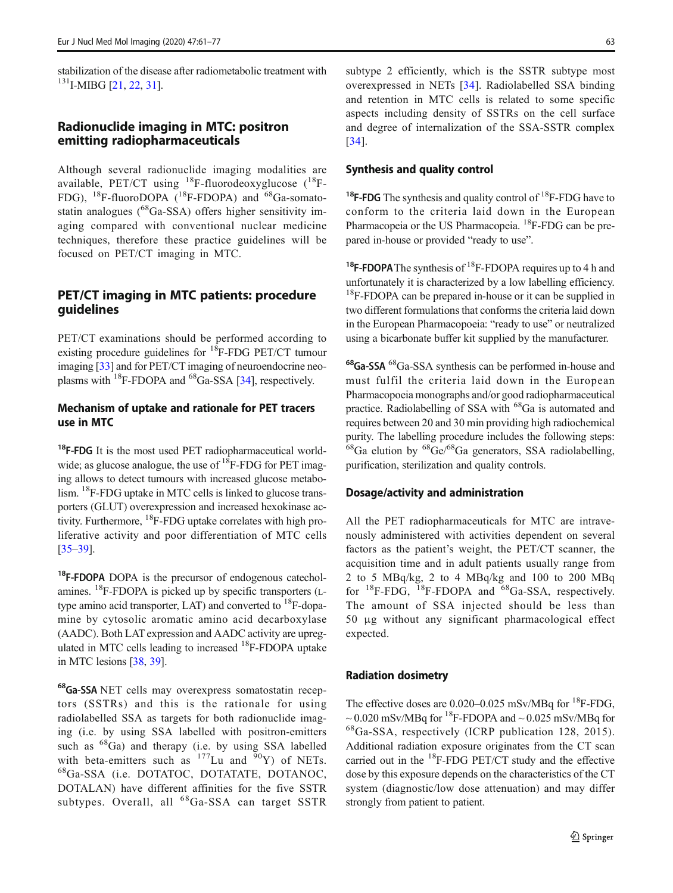stabilization of the disease after radiometabolic treatment with  $131$ I-MIBG [\[21](#page-14-0), [22](#page-14-0), [31\]](#page-14-0).

### Radionuclide imaging in MTC: positron emitting radiopharmaceuticals

Although several radionuclide imaging modalities are available, PET/CT using  ${}^{18}F$ -fluorodeoxyglucose ( ${}^{18}F$ -FDG), <sup>18</sup>F-fluoroDOPA (<sup>18</sup>F-FDOPA) and <sup>68</sup>Ga-somatostatin analogues  $(^{68}Ga-SSA)$  offers higher sensitivity imaging compared with conventional nuclear medicine techniques, therefore these practice guidelines will be focused on PET/CT imaging in MTC.

# PET/CT imaging in MTC patients: procedure guidelines

PET/CT examinations should be performed according to existing procedure guidelines for  ${}^{18}$ F-FDG PET/CT tumour imaging [[33\]](#page-14-0) and for PET/CT imaging of neuroendocrine neoplasms with 18F-FDOPA and 68Ga-SSA [\[34](#page-14-0)], respectively.

## Mechanism of uptake and rationale for PET tracers use in MTC

 $18$ F-FDG It is the most used PET radiopharmaceutical worldwide; as glucose analogue, the use of <sup>18</sup>F-FDG for PET imaging allows to detect tumours with increased glucose metabolism. <sup>18</sup>F-FDG uptake in MTC cells is linked to glucose transporters (GLUT) overexpression and increased hexokinase activity. Furthermore,  $^{18}$ F-FDG uptake correlates with high proliferative activity and poor differentiation of MTC cells [\[35](#page-14-0)–[39\]](#page-14-0).

<sup>18</sup>F-FDOPA DOPA is the precursor of endogenous catecholamines. 18F-FDOPA is picked up by specific transporters (Ltype amino acid transporter, LAT) and converted to  ${}^{18}$ F-dopamine by cytosolic aromatic amino acid decarboxylase (AADC). Both LAT expression and AADC activity are upregulated in MTC cells leading to increased <sup>18</sup>F-FDOPA uptake in MTC lesions [[38](#page-14-0), [39](#page-14-0)].

68Ga-SSA NET cells may overexpress somatostatin receptors (SSTRs) and this is the rationale for using radiolabelled SSA as targets for both radionuclide imaging (i.e. by using SSA labelled with positron-emitters such as  ${}^{68}Ga$  and therapy (i.e. by using SSA labelled with beta-emitters such as  $177$ Lu and  $90$ Y) of NETs. 68Ga-SSA (i.e. DOTATOC, DOTATATE, DOTANOC, DOTALAN) have different affinities for the five SSTR subtypes. Overall, all <sup>68</sup>Ga-SSA can target SSTR

subtype 2 efficiently, which is the SSTR subtype most overexpressed in NETs [\[34](#page-14-0)]. Radiolabelled SSA binding and retention in MTC cells is related to some specific aspects including density of SSTRs on the cell surface and degree of internalization of the SSA-SSTR complex [\[34\]](#page-14-0).

#### Synthesis and quality control

<sup>18</sup>F-FDG The synthesis and quality control of <sup>18</sup>F-FDG have to conform to the criteria laid down in the European Pharmacopeia or the US Pharmacopeia.<sup>18</sup>F-FDG can be prepared in-house or provided "ready to use".

<sup>18</sup>F-FDOPA The synthesis of <sup>18</sup>F-FDOPA requires up to 4 h and unfortunately it is characterized by a low labelling efficiency. <sup>18</sup>F-FDOPA can be prepared in-house or it can be supplied in two different formulations that conforms the criteria laid down in the European Pharmacopoeia: "ready to use" or neutralized using a bicarbonate buffer kit supplied by the manufacturer.

68Ga-SSA 68Ga-SSA synthesis can be performed in-house and must fulfil the criteria laid down in the European Pharmacopoeia monographs and/or good radiopharmaceutical practice. Radiolabelling of SSA with <sup>68</sup>Ga is automated and requires between 20 and 30 min providing high radiochemical purity. The labelling procedure includes the following steps:  $^{68}$ Ga elution by  $^{68}$ Ge/ $^{68}$ Ga generators, SSA radiolabelling, purification, sterilization and quality controls.

#### Dosage/activity and administration

All the PET radiopharmaceuticals for MTC are intravenously administered with activities dependent on several factors as the patient's weight, the PET/CT scanner, the acquisition time and in adult patients usually range from 2 to 5 MBq/kg, 2 to 4 MBq/kg and 100 to 200 MBq for  $^{18}$ F-FDG,  $^{18}$ F-FDOPA and  $^{68}$ Ga-SSA, respectively. The amount of SSA injected should be less than 50 μg without any significant pharmacological effect expected.

#### Radiation dosimetry

The effective doses are  $0.020-0.025$  mSv/MBq for <sup>18</sup>F-FDG,  $\sim$  0.020 mSv/MBq for <sup>18</sup>F-FDOPA and  $\sim$  0.025 mSv/MBq for 68Ga-SSA, respectively (ICRP publication 128, 2015). Additional radiation exposure originates from the CT scan carried out in the  ${}^{18}$ F-FDG PET/CT study and the effective dose by this exposure depends on the characteristics of the CT system (diagnostic/low dose attenuation) and may differ strongly from patient to patient.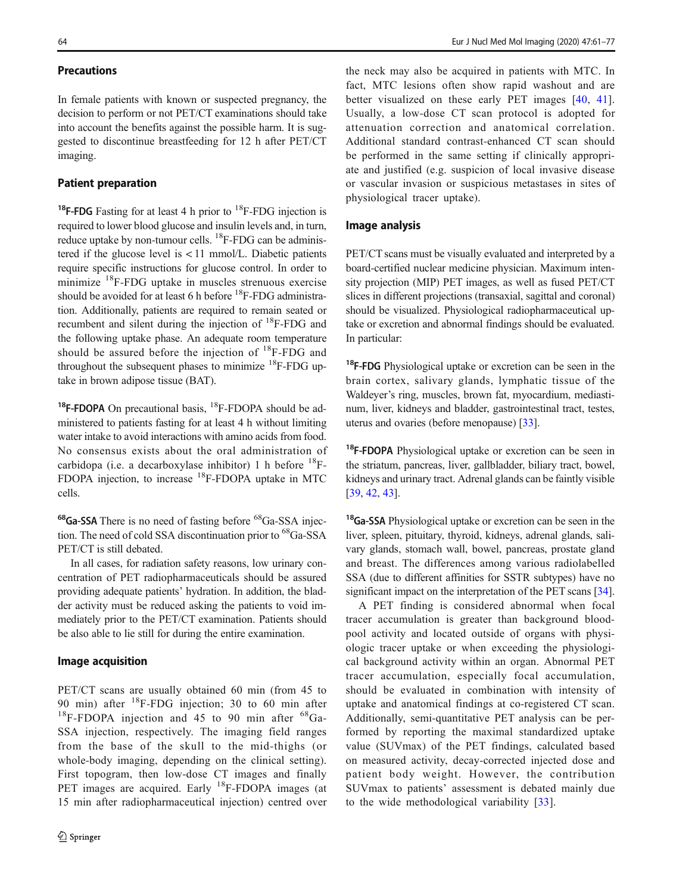### **Precautions**

In female patients with known or suspected pregnancy, the decision to perform or not PET/CT examinations should take into account the benefits against the possible harm. It is suggested to discontinue breastfeeding for 12 h after PET/CT imaging.

### Patient preparation

<sup>18</sup>F-FDG Fasting for at least 4 h prior to <sup>18</sup>F-FDG injection is required to lower blood glucose and insulin levels and, in turn, reduce uptake by non-tumour cells. <sup>18</sup>F-FDG can be administered if the glucose level is  $\lt 11$  mmol/L. Diabetic patients require specific instructions for glucose control. In order to minimize 18F-FDG uptake in muscles strenuous exercise should be avoided for at least 6 h before  ${}^{18}$ F-FDG administration. Additionally, patients are required to remain seated or recumbent and silent during the injection of 18F-FDG and the following uptake phase. An adequate room temperature should be assured before the injection of  ${}^{18}$ F-FDG and throughout the subsequent phases to minimize  $^{18}$ F-FDG uptake in brown adipose tissue (BAT).

<sup>18</sup>F-FDOPA On precautional basis,  ${}^{18}$ F-FDOPA should be administered to patients fasting for at least 4 h without limiting water intake to avoid interactions with amino acids from food. No consensus exists about the oral administration of carbidopa (i.e. a decarboxylase inhibitor) 1 h before 18F-FDOPA injection, to increase 18F-FDOPA uptake in MTC cells.

<sup>68</sup>Ga-SSA There is no need of fasting before <sup>68</sup>Ga-SSA injection. The need of cold SSA discontinuation prior to <sup>68</sup>Ga-SSA PET/CT is still debated.

In all cases, for radiation safety reasons, low urinary concentration of PET radiopharmaceuticals should be assured providing adequate patients' hydration. In addition, the bladder activity must be reduced asking the patients to void immediately prior to the PET/CT examination. Patients should be also able to lie still for during the entire examination.

#### Image acquisition

PET/CT scans are usually obtained 60 min (from 45 to 90 min) after  $^{18}$ F-FDG injection; 30 to 60 min after  $^{18}$ F-FDOPA injection and 45 to 90 min after  $^{68}$ Ga-SSA injection, respectively. The imaging field ranges from the base of the skull to the mid-thighs (or whole-body imaging, depending on the clinical setting). First topogram, then low-dose CT images and finally PET images are acquired. Early <sup>18</sup>F-FDOPA images (at 15 min after radiopharmaceutical injection) centred over

the neck may also be acquired in patients with MTC. In fact, MTC lesions often show rapid washout and are better visualized on these early PET images [[40](#page-14-0), [41](#page-14-0)]. Usually, a low-dose CT scan protocol is adopted for attenuation correction and anatomical correlation. Additional standard contrast-enhanced CT scan should be performed in the same setting if clinically appropriate and justified (e.g. suspicion of local invasive disease or vascular invasion or suspicious metastases in sites of physiological tracer uptake).

#### Image analysis

PET/CT scans must be visually evaluated and interpreted by a board-certified nuclear medicine physician. Maximum intensity projection (MIP) PET images, as well as fused PET/CT slices in different projections (transaxial, sagittal and coronal) should be visualized. Physiological radiopharmaceutical uptake or excretion and abnormal findings should be evaluated. In particular:

<sup>18</sup>F-FDG Physiological uptake or excretion can be seen in the brain cortex, salivary glands, lymphatic tissue of the Waldeyer's ring, muscles, brown fat, myocardium, mediastinum, liver, kidneys and bladder, gastrointestinal tract, testes, uterus and ovaries (before menopause) [[33](#page-14-0)].

<sup>18</sup>F-FDOPA Physiological uptake or excretion can be seen in the striatum, pancreas, liver, gallbladder, biliary tract, bowel, kidneys and urinary tract. Adrenal glands can be faintly visible [\[39](#page-14-0), [42,](#page-14-0) [43\]](#page-14-0).

<sup>18</sup>Ga-SSA Physiological uptake or excretion can be seen in the liver, spleen, pituitary, thyroid, kidneys, adrenal glands, salivary glands, stomach wall, bowel, pancreas, prostate gland and breast. The differences among various radiolabelled SSA (due to different affinities for SSTR subtypes) have no significant impact on the interpretation of the PET scans [[34\]](#page-14-0).

A PET finding is considered abnormal when focal tracer accumulation is greater than background bloodpool activity and located outside of organs with physiologic tracer uptake or when exceeding the physiological background activity within an organ. Abnormal PET tracer accumulation, especially focal accumulation, should be evaluated in combination with intensity of uptake and anatomical findings at co-registered CT scan. Additionally, semi-quantitative PET analysis can be performed by reporting the maximal standardized uptake value (SUVmax) of the PET findings, calculated based on measured activity, decay-corrected injected dose and patient body weight. However, the contribution SUVmax to patients' assessment is debated mainly due to the wide methodological variability [\[33](#page-14-0)].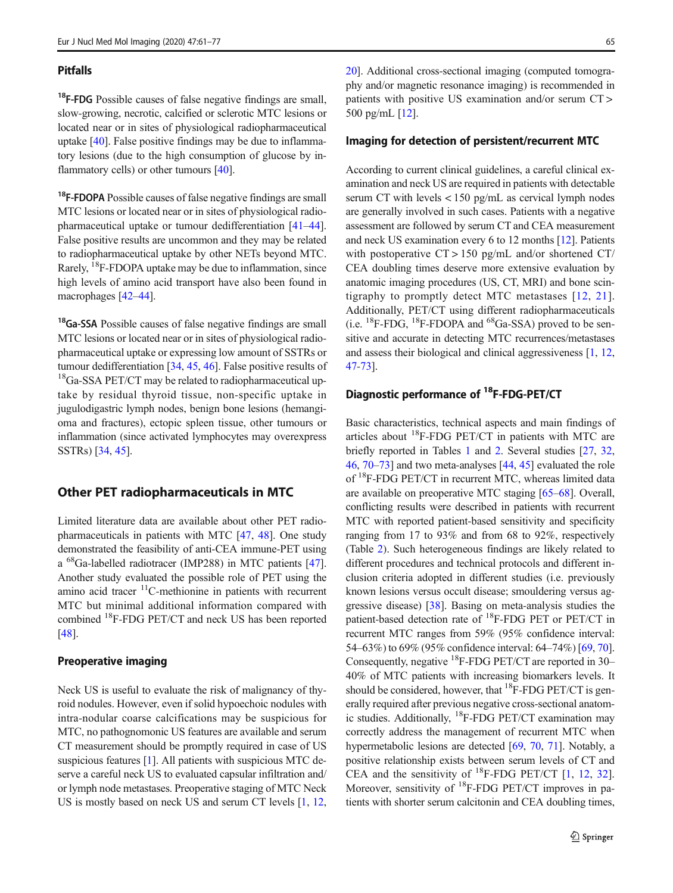#### Pitfalls

<sup>18</sup>F-FDG Possible causes of false negative findings are small, slow-growing, necrotic, calcified or sclerotic MTC lesions or located near or in sites of physiological radiopharmaceutical uptake [[40](#page-14-0)]. False positive findings may be due to inflammatory lesions (due to the high consumption of glucose by in-flammatory cells) or other tumours [[40\]](#page-14-0).

<sup>18</sup>F-FDOPA Possible causes of false negative findings are small MTC lesions or located near or in sites of physiological radiopharmaceutical uptake or tumour dedifferentiation [[41](#page-14-0)–[44](#page-15-0)]. False positive results are uncommon and they may be related to radiopharmaceutical uptake by other NETs beyond MTC. Rarely, 18F-FDOPA uptake may be due to inflammation, since high levels of amino acid transport have also been found in macrophages [\[42](#page-14-0)–[44](#page-15-0)].

<sup>18</sup>Ga-SSA Possible causes of false negative findings are small MTC lesions or located near or in sites of physiological radiopharmaceutical uptake or expressing low amount of SSTRs or tumour dedifferentiation [[34,](#page-14-0) [45](#page-15-0), [46\]](#page-15-0). False positive results of  $18$ Ga-SSA PET/CT may be related to radiopharmaceutical uptake by residual thyroid tissue, non-specific uptake in jugulodigastric lymph nodes, benign bone lesions (hemangioma and fractures), ectopic spleen tissue, other tumours or inflammation (since activated lymphocytes may overexpress SSTRs) [\[34,](#page-14-0) [45\]](#page-15-0).

### Other PET radiopharmaceuticals in MTC

Limited literature data are available about other PET radiopharmaceuticals in patients with MTC [\[47](#page-15-0), [48](#page-15-0)]. One study demonstrated the feasibility of anti-CEA immune-PET using a 68Ga-labelled radiotracer (IMP288) in MTC patients [[47\]](#page-15-0). Another study evaluated the possible role of PET using the amino acid tracer  $\rm ^{11}C$ -methionine in patients with recurrent MTC but minimal additional information compared with combined 18F-FDG PET/CT and neck US has been reported [\[48\]](#page-15-0).

#### Preoperative imaging

Neck US is useful to evaluate the risk of malignancy of thyroid nodules. However, even if solid hypoechoic nodules with intra-nodular coarse calcifications may be suspicious for MTC, no pathognomonic US features are available and serum CT measurement should be promptly required in case of US suspicious features [\[1\]](#page-13-0). All patients with suspicious MTC deserve a careful neck US to evaluated capsular infiltration and/ or lymph node metastases. Preoperative staging of MTC Neck US is mostly based on neck US and serum CT levels [[1,](#page-13-0) [12,](#page-14-0) [20\]](#page-14-0). Additional cross-sectional imaging (computed tomography and/or magnetic resonance imaging) is recommended in patients with positive US examination and/or serum CT > 500 pg/mL [\[12\]](#page-14-0).

#### Imaging for detection of persistent/recurrent MTC

According to current clinical guidelines, a careful clinical examination and neck US are required in patients with detectable serum CT with levels < 150 pg/mL as cervical lymph nodes are generally involved in such cases. Patients with a negative assessment are followed by serum CT and CEA measurement and neck US examination every 6 to 12 months [\[12\]](#page-14-0). Patients with postoperative  $CT > 150$  pg/mL and/or shortened  $CT/$ CEA doubling times deserve more extensive evaluation by anatomic imaging procedures (US, CT, MRI) and bone scintigraphy to promptly detect MTC metastases [[12,](#page-14-0) [21](#page-14-0)]. Additionally, PET/CT using different radiopharmaceuticals (i.e.  ${}^{18}$ F-FDG,  ${}^{18}$ F-FDOPA and  ${}^{68}$ Ga-SSA) proved to be sensitive and accurate in detecting MTC recurrences/metastases and assess their biological and clinical aggressiveness [[1,](#page-13-0) [12,](#page-14-0) [47](#page-15-0)[-73\]](#page-16-0).

# Diagnostic performance of 18F-FDG-PET/CT

Basic characteristics, technical aspects and main findings of articles about  ${}^{18}$ F-FDG PET/CT in patients with MTC are briefly reported in Tables [1](#page-5-0) and [2](#page-6-0). Several studies [[27,](#page-14-0) [32,](#page-14-0) [46,](#page-15-0) [70](#page-15-0)–[73](#page-16-0)] and two meta-analyses [\[44,](#page-15-0) [45\]](#page-15-0) evaluated the role of <sup>18</sup>F-FDG PET/CT in recurrent MTC, whereas limited data are available on preoperative MTC staging [\[65](#page-15-0)–[68\]](#page-15-0). Overall, conflicting results were described in patients with recurrent MTC with reported patient-based sensitivity and specificity ranging from 17 to 93% and from 68 to 92%, respectively (Table [2](#page-6-0)). Such heterogeneous findings are likely related to different procedures and technical protocols and different inclusion criteria adopted in different studies (i.e. previously known lesions versus occult disease; smouldering versus aggressive disease) [\[38](#page-14-0)]. Basing on meta-analysis studies the patient-based detection rate of <sup>18</sup>F-FDG PET or PET/CT in recurrent MTC ranges from 59% (95% confidence interval: 54–63%) to 69% (95% confidence interval: 64–74%) [[69,](#page-15-0) [70\]](#page-15-0). Consequently, negative  ${}^{18}$ F-FDG PET/CT are reported in 30– 40% of MTC patients with increasing biomarkers levels. It should be considered, however, that  ${}^{18}$ F-FDG PET/CT is generally required after previous negative cross-sectional anatomic studies. Additionally, 18F-FDG PET/CT examination may correctly address the management of recurrent MTC when hypermetabolic lesions are detected [\[69](#page-15-0), [70,](#page-15-0) [71\]](#page-15-0). Notably, a positive relationship exists between serum levels of CT and CEA and the sensitivity of  $^{18}$ F-FDG PET/CT [[1,](#page-13-0) [12](#page-14-0), [32\]](#page-14-0). Moreover, sensitivity of  ${}^{18}$ F-FDG PET/CT improves in patients with shorter serum calcitonin and CEA doubling times,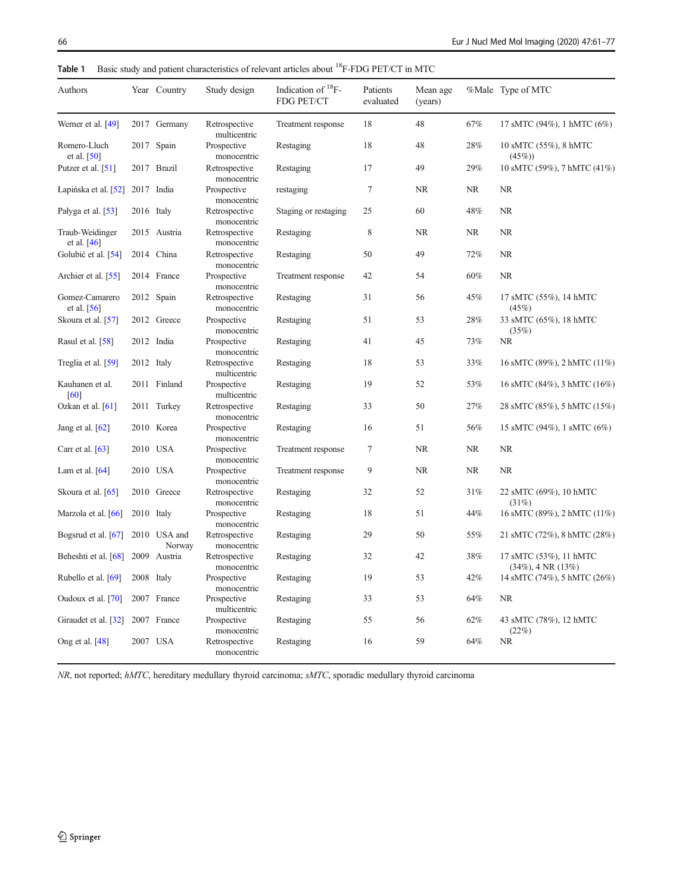| Authors                          | Year Country           | Study design                  | Indication of ${}^{18}F -$<br>FDG PET/CT | Patients<br>evaluated | Mean age<br>(years) |           | %Male Type of MTC                                  |
|----------------------------------|------------------------|-------------------------------|------------------------------------------|-----------------------|---------------------|-----------|----------------------------------------------------|
| Werner et al. [49]               | 2017 Germany           | Retrospective<br>multicentric | Treatment response                       | 18                    | 48                  | 67%       | 17 sMTC (94%), 1 hMTC (6%)                         |
| Romero-Lluch<br>et al. $[50]$    | 2017 Spain             | Prospective<br>monocentric    | Restaging                                | 18                    | 48                  | 28%       | 10 sMTC (55%), 8 hMTC<br>(45%)                     |
| Putzer et al. [51]               | 2017 Brazil            | Retrospective<br>monocentric  | Restaging                                | 17                    | 49                  | 29%       | 10 sMTC (59%), 7 hMTC (41%)                        |
| Lapińska et al. [52]             | 2017 India             | Prospective<br>monocentric    | restaging                                | $\tau$                | NR                  | NR        | NR.                                                |
| Pałyga et al. [53]               | 2016 Italy             | Retrospective<br>monocentric  | Staging or restaging                     | 25                    | 60                  | 48%       | <b>NR</b>                                          |
| Traub-Weidinger<br>et al. $[46]$ | 2015 Austria           | Retrospective<br>monocentric  | Restaging                                | 8                     | NR                  | NR        | NR.                                                |
| Golubić et al. [54]              | 2014 China             | Retrospective<br>monocentric  | Restaging                                | 50                    | 49                  | 72%       | <b>NR</b>                                          |
| Archier et al. [55]              | 2014 France            | Prospective<br>monocentric    | Treatment response                       | 42                    | 54                  | 60%       | <b>NR</b>                                          |
| Gomez-Camarero<br>et al. $[56]$  | 2012 Spain             | Retrospective<br>monocentric  | Restaging                                | 31                    | 56                  | 45%       | 17 sMTC (55%), 14 hMTC<br>(45%)                    |
| Skoura et al. [57]               | 2012 Greece            | Prospective<br>monocentric    | Restaging                                | 51                    | 53                  | 28%       | 33 sMTC (65%), 18 hMTC<br>(35%)                    |
| Rasul et al. [58]                | 2012 India             | Prospective<br>monocentric    | Restaging                                | 41                    | 45                  | 73%       | NR.                                                |
| Treglia et al. [59]              | 2012 Italy             | Retrospective<br>multicentric | Restaging                                | 18                    | 53                  | 33%       | 16 sMTC (89%), 2 hMTC (11%)                        |
| Kauhanen et al.<br>[60]          | 2011 Finland           | Prospective<br>multicentric   | Restaging                                | 19                    | 52                  | 53%       | 16 sMTC (84%), 3 hMTC (16%)                        |
| Ozkan et al. $[61]$              | 2011 Turkey            | Retrospective<br>monocentric  | Restaging                                | 33                    | 50                  | 27%       | 28 sMTC (85%), 5 hMTC (15%)                        |
| Jang et al. $[62]$               | 2010 Korea             | Prospective<br>monocentric    | Restaging                                | 16                    | 51                  | 56%       | 15 sMTC (94%), 1 sMTC (6%)                         |
| Carr et al. $[63]$               | 2010 USA               | Prospective<br>monocentric    | Treatment response                       | 7                     | <b>NR</b>           | NR        | <b>NR</b>                                          |
| Lam et al. $[64]$                | 2010 USA               | Prospective<br>monocentric    | Treatment response                       | 9                     | <b>NR</b>           | <b>NR</b> | <b>NR</b>                                          |
| Skoura et al. [65]               | 2010 Greece            | Retrospective<br>monocentric  | Restaging                                | 32                    | 52                  | 31%       | 22 sMTC (69%), 10 hMTC<br>(31%)                    |
| Marzola et al. [66]              | 2010 Italy             | Prospective<br>monocentric    | Restaging                                | 18                    | 51                  | 44%       | 16 sMTC (89%), 2 hMTC (11%)                        |
| Bogsrud et al. $[67]$            | 2010 USA and<br>Norway | Retrospective<br>monocentric  | Restaging                                | 29                    | 50                  | 55%       | 21 sMTC (72%), 8 hMTC (28%)                        |
| Beheshti et al. [68]             | 2009 Austria           | Retrospective<br>monocentric  | Restaging                                | 32                    | 42                  | 38%       | 17 sMTC (53%), 11 hMTC<br>$(34\%)$ , 4 NR $(13\%)$ |
| Rubello et al. $[69]$            | 2008 Italy             | Prospective<br>monocentric    | Restaging                                | 19                    | 53                  | 42%       | 14 sMTC (74%), 5 hMTC (26%)                        |
| Oudoux et al. [70]               | 2007 France            | Prospective<br>multicentric   | Restaging                                | 33                    | 53                  | 64%       | <b>NR</b>                                          |
| Giraudet et al. [32]             | 2007 France            | Prospective<br>monocentric    | Restaging                                | 55                    | 56                  | 62%       | 43 sMTC (78%), 12 hMTC<br>(22%)                    |
| Ong et al. [48]                  | 2007 USA               | Retrospective<br>monocentric  | Restaging                                | 16                    | 59                  | 64%       | NR                                                 |

<span id="page-5-0"></span>Table 1 Basic study and patient characteristics of relevant articles about <sup>18</sup>F-FDG PET/CT in MTC

NR, not reported; hMTC, hereditary medullary thyroid carcinoma; sMTC, sporadic medullary thyroid carcinoma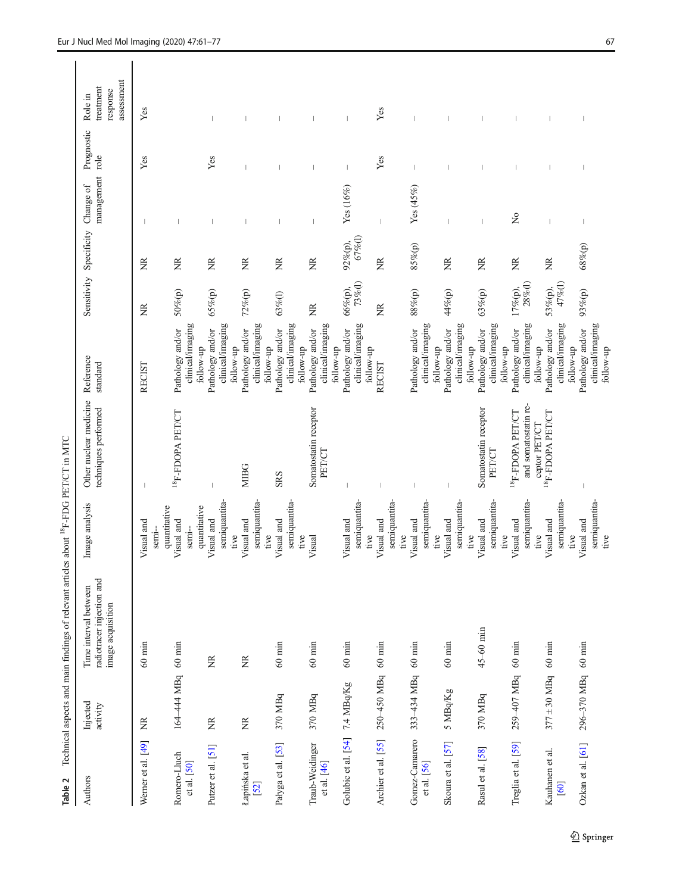| ļ<br> <br> <br> <br> <br> <br> <br>֖֖֖֖֖֖֖֖֧ׅ֖ׅ֪ׅ֖֧֖֚֚֚֚֚֚֚֚֚֚֚֚֚֚֚֚֚֚֚֚֚֡֬֝֝֓֞֬<br>j<br>)<br>י<br>l<br>ļ |
|-----------------------------------------------------------------------------------------------------------|
|                                                                                                           |
|                                                                                                           |
|                                                                                                           |
|                                                                                                           |
| ١<br>i                                                                                                    |
|                                                                                                           |
| an of the                                                                                                 |
|                                                                                                           |
| I<br>l                                                                                                    |
| Ć<br>I<br>ı                                                                                               |

<span id="page-6-0"></span>

| Authors                              | Injected<br>activity | radiotracer injection and<br>Time interval between<br>image acquisition | Image analysis                              | Other nuclear medicine<br>techniques performed | Reference<br>standard                                          |                       | Sensitivity Specificity Change of | management  | Prognostic<br>role       | assessment<br>treatment<br>response<br>Role in |
|--------------------------------------|----------------------|-------------------------------------------------------------------------|---------------------------------------------|------------------------------------------------|----------------------------------------------------------------|-----------------------|-----------------------------------|-------------|--------------------------|------------------------------------------------|
| Wemer et al. [49]                    | Ž                    | $60$ min                                                                | quantitative<br>Visual and<br>$s$ emi-      |                                                | <b>RECIST</b>                                                  | Ž                     | ã                                 |             | Yes                      | ${\it Yes}$                                    |
| Romero-Lluch<br>et al. [50]          | 164-444 MBq 60 min   |                                                                         | quantitative<br>Visual and<br>semi-         | $^{18}$ F-FDOPA PET/CT                         | clinical/imaging<br>Pathology and/or<br>follow-up              | 50%(p)                | ã                                 |             |                          |                                                |
| Putzer et al. [51]                   | Ž                    | ã                                                                       | semiquantita-<br>Visual and                 |                                                | clinical/imaging<br>Pathology and/or                           | 65%(p)                | ž                                 |             | Yes                      | $\overline{\phantom{a}}$                       |
| Łapińska et al.<br>$\overline{[52]}$ | ã                    | ã                                                                       | semiquantita-<br>Visual and<br>tive         | <b>MIBG</b>                                    | clinical/imaging<br>Pathology and/or<br>follow-up              | $72\%$ (p)            | ã                                 |             |                          |                                                |
| Pałyga et al. [53]                   | 370 MBq              | $60$ $\min$                                                             | semiquantita-<br>Visual and<br>tive<br>tive | <b>SRS</b>                                     | clinical/imaging<br>Pathology and/or<br>follow-up<br>follow-up | 63%(l)                | ã                                 |             |                          |                                                |
| Traub-Weidinger<br>et al. [46]       | 370 MBq              | $60$ min                                                                | Visual                                      | Somatostatin receptor<br>PET/CT                | clinical/imaging<br>Pathology and/or<br>follow-up              | ž                     | Ž                                 |             |                          |                                                |
| Golubic et al. [54] 7.4 MBq/Kg       |                      | $60$ min                                                                | semiquantita-<br>Visual and                 |                                                | clinical/imaging<br>Pathology and/or                           | $73\%$ (l)<br>66%(p), | 67%(l)<br>92%(p),                 | Yes (16%)   | $\overline{\phantom{a}}$ | $\overline{\phantom{a}}$                       |
| Archier et al. [55]                  | 250-450 MBq          | $60$ $\min$                                                             | semiquantita-<br>Visual and<br>tive         |                                                | follow-up<br>RECIST                                            | Ž                     | Ĕ                                 |             | Yes                      | Yes                                            |
| Gomez-Camarero<br>et al. [56]        | 333-434 MBq          | $60$ min                                                                | semiquantita-<br>Visual and<br>tive         |                                                | clinical/imaging<br>Pathology and/or                           | $88\%{\rm (p)}$       | 85%(p)                            | Yes $(45%)$ |                          |                                                |
| Skoura et al. [57]                   | 5 MBq/Kg             | $60$ min                                                                | semiquantita-<br>Visual and<br>tive<br>tive |                                                | clinical/imaging<br>Pathology and/or<br>follow-up<br>follow-up | 44%(p)                | ž                                 |             |                          |                                                |
| Rasul et al. [58]                    | 370 MBq              | $45 - 60$ min                                                           | semiquantita-<br>Visual and                 | Somatostatin receptor<br>PET/CT                | clinical/imaging<br>Pathology and/or                           | 63%(p)                | ž                                 |             |                          |                                                |
| Treglia et al. [59]                  | 259-407 MBq          | $60 \text{ min}$                                                        | semiquantita-<br>Visual and<br>tive         | and somatostatin re-<br>$^{18}$ F-FDOPA PET/CT | clinical/imaging<br>Pathology and/or<br>follow-up              | $28%$ (l)<br>17%(p),  | ã                                 | $\tilde{z}$ |                          |                                                |
| Kauhanen et al.<br>[60]              | $377 \pm 30$ MBq     | $60 \text{ min}$                                                        | semiquantita-<br>Visual and<br>tive         | <sup>18</sup> F-FDOPA PET/CT<br>ceptor PET/CT  | clinical/imaging<br>Pathology and/or<br>follow-up              | 47%(l)<br>53%(p),     | Ĕ                                 |             |                          |                                                |
| Ozkan et al. $[61]$                  | 296-370 MBq 60 min   |                                                                         | semiquantita-<br>Visual and<br>tive<br>tive |                                                | clinical/imaging<br>Pathology and/or<br>follow-up<br>follow-up | 93%(p)                | 68%(p)                            |             |                          |                                                |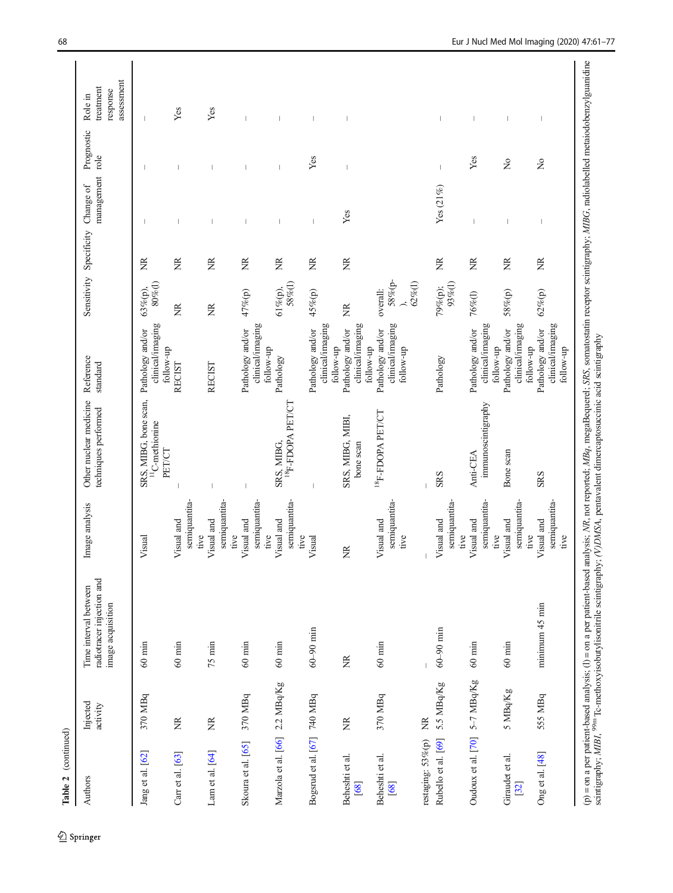| Table 2 (continued)            |                      |                                                                                                                                                                                                                               |                                             |                                                                                                                                     |                                                   |                                      |                         |                              |               |                                                |
|--------------------------------|----------------------|-------------------------------------------------------------------------------------------------------------------------------------------------------------------------------------------------------------------------------|---------------------------------------------|-------------------------------------------------------------------------------------------------------------------------------------|---------------------------------------------------|--------------------------------------|-------------------------|------------------------------|---------------|------------------------------------------------|
| Authors                        | Injected<br>activity | radiotracer injection and<br>Time interval between<br>image acquisition                                                                                                                                                       | Image analysis                              | Other nuclear medicine<br>techniques performed                                                                                      | Reference<br>standard                             |                                      | Sensitivity Specificity | management role<br>Change of | Prognostic    | assessment<br>treatment<br>response<br>Role in |
| Jang et al. [62]               | 370 MBq              | $60$ $\min$                                                                                                                                                                                                                   | Visual                                      | SRS, MIBG, bone scan,<br>$^{11}$ C-methionine<br>PET/CT                                                                             | clinical/imaging<br>Pathology and/or<br>follow-up | $80\%$ (l)<br>63%(p),                | ã                       |                              |               |                                                |
| Carr et al. $[63]$             | E                    | $60$ min                                                                                                                                                                                                                      | semiquantita-<br>Visual and                 |                                                                                                                                     | RECIST                                            | $\widetilde{\Xi}$                    | ž                       |                              |               | Yes                                            |
| Lam et al. $[64]$              | $\widetilde{\Xi}$    | $75$ min                                                                                                                                                                                                                      | semiquantita-<br>Visual and<br>tive<br>tive |                                                                                                                                     | <b>RECIST</b>                                     | ã                                    | ã                       |                              |               | Yes                                            |
| Skoura et al. [65]             | 370 MBq              | $60~\mathrm{min}$                                                                                                                                                                                                             | semiquantita-<br>Visual and<br>tive         |                                                                                                                                     | clinical/imaging<br>Pathology and/or<br>follow-up | 47%(p)                               | Ĕ                       |                              |               |                                                |
| Marzola et al. [66] 2.2 MBq/Kg |                      | $60$ min                                                                                                                                                                                                                      | semiquantita-<br>Visual and<br>tive         | $^{18}$ F-FDOPA PET/CT<br>SRS, MIBG.                                                                                                | Pathology                                         | 58%(l)<br>61%(p),                    | ž                       |                              |               |                                                |
| Bogsrud et al. [67] 740 MBq    |                      | $60 - 90$ min                                                                                                                                                                                                                 | Visual                                      |                                                                                                                                     | clinical/imaging<br>Pathology and/or<br>follow-up | 45%(p)                               | $\widetilde{\Xi}$       |                              | Yes           |                                                |
| Beheshti et al.<br>[68]        | ž                    | ž                                                                                                                                                                                                                             | Ĕ                                           | SRS, MIBG, MIBI,<br>bone scan                                                                                                       | clinical/imaging<br>Pathology and/or<br>follow-up | Ĕ                                    | ž                       | Yes                          |               |                                                |
| Beheshti et al.<br>[68]        | 370 MBq              | $60$ min                                                                                                                                                                                                                      | semiquantita-<br>Visual and<br>tive         | $^{18}$ F-FDOPA PET/CT                                                                                                              | clinical/imaging<br>Pathology and/or<br>follow-up | $58\%$ (p-<br>$62\%$ (l)<br>overall: |                         |                              |               |                                                |
| restaging: 53%(p)              | ã                    |                                                                                                                                                                                                                               |                                             |                                                                                                                                     |                                                   |                                      |                         |                              |               |                                                |
| Rubello et al. [69]            | 5.5 MBq/Kg           | $60 - 90$ min                                                                                                                                                                                                                 | semiquantita-<br>Visual and<br>tive         | <b>SRS</b>                                                                                                                          | Pathology                                         | $93\%$ (l)<br>79%(p);                | ž                       | Yes (21%)                    |               | $\overline{\phantom{a}}$                       |
| Oudoux et al. [70]             | 5-7 MBq/Kg           | $60 \text{ min}$                                                                                                                                                                                                              | semiquantita-<br>Visual and<br>tive         | immunoscintigraphy<br>Anti-CEA                                                                                                      | clinical/imaging<br>Pathology and/or<br>follow-up | $76\%$ (l)                           | Ž                       |                              | Yes           | $\overline{\phantom{a}}$                       |
| Giraudet et al.<br>[32]        | 5 MBq/Kg             | $60$ min                                                                                                                                                                                                                      | semiquantita-<br>Visual and<br>tive         | Bone scan                                                                                                                           | clinical/imaging<br>Pathology and/or<br>follow-up | 58%(p)                               | E                       |                              | $\frac{1}{2}$ |                                                |
| Ong et al. [48]                | 555 MBq              | minimum 45 min                                                                                                                                                                                                                | semiquantita-<br>Visual and<br>tive         | <b>SRS</b>                                                                                                                          | clinical/imaging<br>Pathology and/or<br>follow-up | 62%(p)                               | ã                       |                              | $\tilde{z}$   | I                                              |
|                                |                      | (p) = on a per patient-based analysis; (l) = on a per patient-based analysis; NR, not reported; MBq, megaBequerel; SRS, somatostical integraphy somatostical properties of the science of the science of the science of the s |                                             | analysis; NR, not reported; MBq, megaBequerel; SRS, somatostatin receptor scintigraphy; MIBG, radiolabelled metaiodobenzylguanidine |                                                   |                                      |                         |                              |               |                                                |

 $\underline{\textcircled{\tiny 2}}$  Springer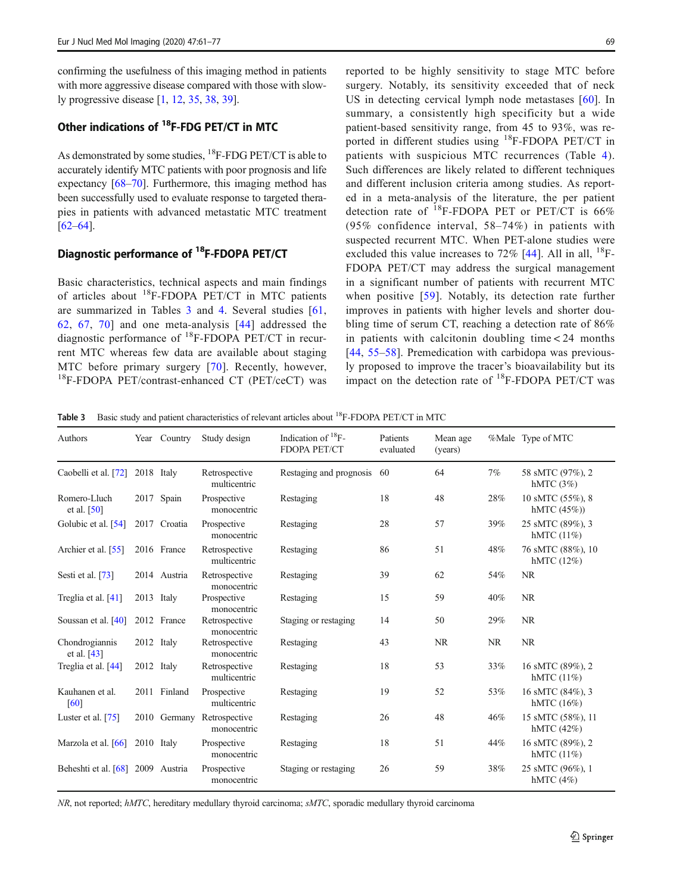confirming the usefulness of this imaging method in patients with more aggressive disease compared with those with slowly progressive disease [\[1,](#page-13-0) [12,](#page-14-0) [35,](#page-14-0) [38](#page-14-0), [39](#page-14-0)].

# Other indications of <sup>18</sup>F-FDG PET/CT in MTC

As demonstrated by some studies, <sup>18</sup>F-FDG PET/CT is able to accurately identify MTC patients with poor prognosis and life expectancy [[68](#page-15-0)–[70](#page-15-0)]. Furthermore, this imaging method has been successfully used to evaluate response to targeted therapies in patients with advanced metastatic MTC treatment [\[62](#page-15-0)–[64\]](#page-15-0).

# Diagnostic performance of 18F-FDOPA PET/CT

Basic characteristics, technical aspects and main findings of articles about  $^{18}$ F-FDOPA PET/CT in MTC patients are summarized in Tables 3 and [4.](#page-9-0) Several studies [\[61,](#page-15-0) [62](#page-15-0), [67,](#page-15-0) [70\]](#page-15-0) and one meta-analysis [[44](#page-15-0)] addressed the diagnostic performance of 18F-FDOPA PET/CT in recurrent MTC whereas few data are available about staging MTC before primary surgery [\[70\]](#page-15-0). Recently, however, <sup>18</sup>F-FDOPA PET/contrast-enhanced CT (PET/ceCT) was reported to be highly sensitivity to stage MTC before surgery. Notably, its sensitivity exceeded that of neck US in detecting cervical lymph node metastases [[60](#page-15-0)]. In summary, a consistently high specificity but a wide patient-based sensitivity range, from 45 to 93%, was reported in different studies using <sup>18</sup>F-FDOPA PET/CT in patients with suspicious MTC recurrences (Table [4](#page-9-0)). Such differences are likely related to different techniques and different inclusion criteria among studies. As reported in a meta-analysis of the literature, the per patient detection rate of 18F-FDOPA PET or PET/CT is 66% (95% confidence interval, 58–74%) in patients with suspected recurrent MTC. When PET-alone studies were excluded this value increases to  $72\%$  [\[44](#page-15-0)]. All in all,  $^{18}$ F-FDOPA PET/CT may address the surgical management in a significant number of patients with recurrent MTC when positive [[59\]](#page-15-0). Notably, its detection rate further improves in patients with higher levels and shorter doubling time of serum CT, reaching a detection rate of 86% in patients with calcitonin doubling time < 24 months [\[44,](#page-15-0) [55](#page-15-0)–[58](#page-15-0)]. Premedication with carbidopa was previously proposed to improve the tracer's bioavailability but its impact on the detection rate of 18F-FDOPA PET/CT was

Table 3 Basic study and patient characteristics of relevant articles about <sup>18</sup>F-FDOPA PET/CT in MTC

| Authors                           | Year       | Country      | Study design                              | Indication of <sup>18</sup> F-<br>FDOPA PET/CT | Patients<br>evaluated | Mean age<br>(years) |           | %Male Type of MTC                  |
|-----------------------------------|------------|--------------|-------------------------------------------|------------------------------------------------|-----------------------|---------------------|-----------|------------------------------------|
| Caobelli et al. [72]              | 2018 Italy |              | Retrospective<br>multicentric             | Restaging and prognosis                        | 60                    | 64                  | 7%        | 58 sMTC (97%), 2<br>hMTC $(3\%)$   |
| Romero-Lluch<br>et al. $[50]$     | 2017       | Spain        | Prospective<br>monocentric                | Restaging                                      | 18                    | 48                  | 28%       | 10 sMTC (55%), 8<br>hMTC $(45%)$   |
| Golubic et al. [54]               |            | 2017 Croatia | Prospective<br>monocentric                | Restaging                                      | 28                    | 57                  | 39%       | 25 sMTC (89%), 3<br>hMTC $(11\%)$  |
| Archier et al. [55]               |            | 2016 France  | Retrospective<br>multicentric             | Restaging                                      | 86                    | 51                  | 48%       | 76 sMTC (88%), 10<br>hMTC $(12\%)$ |
| Sesti et al. [73]                 |            | 2014 Austria | Retrospective<br>monocentric              | Restaging                                      | 39                    | 62                  | 54%       | <b>NR</b>                          |
| Treglia et al. [41]               | 2013 Italy |              | Prospective<br>monocentric                | Restaging                                      | 15                    | 59                  | 40%       | <b>NR</b>                          |
| Soussan et al. [40]               |            | 2012 France  | Retrospective<br>monocentric              | Staging or restaging                           | 14                    | 50                  | 29%       | <b>NR</b>                          |
| Chondrogiannis<br>et al. [43]     | 2012 Italy |              | Retrospective<br>monocentric              | Restaging                                      | 43                    | <b>NR</b>           | <b>NR</b> | <b>NR</b>                          |
| Treglia et al. [44]               | 2012 Italy |              | Retrospective<br>multicentric             | Restaging                                      | 18                    | 53                  | 33%       | 16 sMTC (89%), 2<br>hMTC $(11\%)$  |
| Kauhanen et al.<br>[60]           |            | 2011 Finland | Prospective<br>multicentric               | Restaging                                      | 19                    | 52                  | 53%       | 16 sMTC (84%), 3<br>hMTC $(16\%)$  |
| Luster et al. [75]                |            |              | 2010 Germany Retrospective<br>monocentric | Restaging                                      | 26                    | 48                  | 46%       | 15 sMTC (58%), 11<br>hMTC (42%)    |
| Marzola et al. [66]               | 2010 Italy |              | Prospective<br>monocentric                | Restaging                                      | 18                    | 51                  | 44%       | 16 sMTC (89%), 2<br>hMTC $(11\%)$  |
| Beheshti et al. [68] 2009 Austria |            |              | Prospective<br>monocentric                | Staging or restaging                           | 26                    | 59                  | 38%       | 25 sMTC (96%), 1<br>hMTC $(4%)$    |

NR, not reported; hMTC, hereditary medullary thyroid carcinoma; sMTC, sporadic medullary thyroid carcinoma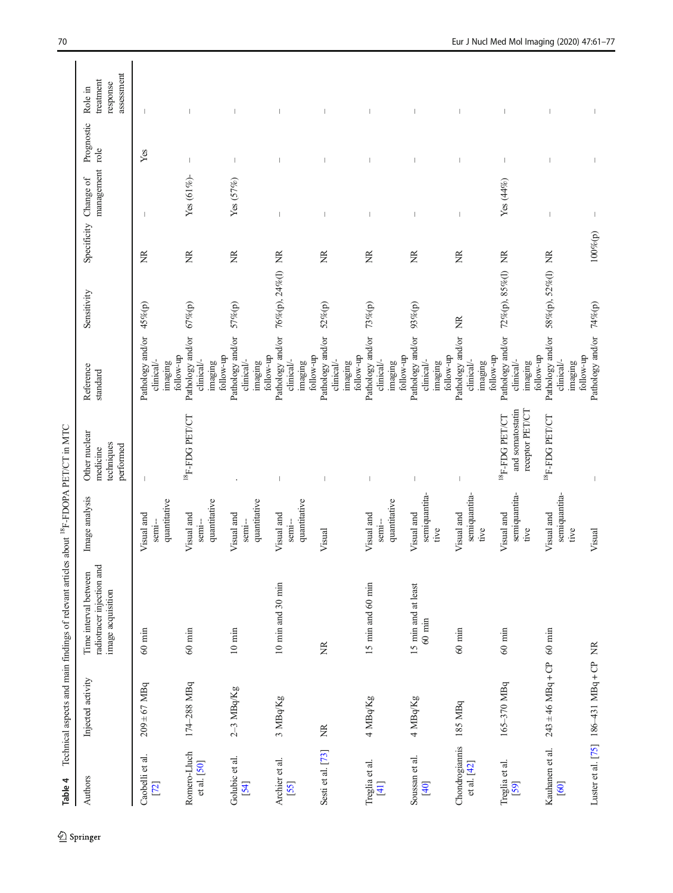<span id="page-9-0"></span>

| Table 4                         |                                          | Technical aspects and main findings of relevant articles about <sup>18</sup> F-FDOPA PET/CT in MTC |                                       |                                                             |                                                                     |                   |                  |                              |                |                                                |
|---------------------------------|------------------------------------------|----------------------------------------------------------------------------------------------------|---------------------------------------|-------------------------------------------------------------|---------------------------------------------------------------------|-------------------|------------------|------------------------------|----------------|------------------------------------------------|
| Authors                         | Injected activity                        | radiotracer injection and<br>Time interval between<br>image acquisition                            | Image analysis                        | Other nuclear<br>techniques<br>performed<br>medicine        | Reference<br>standard                                               | Sensitivity       | Specificity      | management role<br>Change of | Prognostic     | assessment<br>treatment<br>response<br>Role in |
| Caobelli et al.<br>[72]         | $209 \pm 67$ MBq                         | $60~\mathrm{min}$                                                                                  | quantitative<br>Visual and<br>semi-   |                                                             | Pathology and/or<br>clinical/-<br>imaging                           | 45%(p)            | ž                |                              | $\mathbf{Yes}$ |                                                |
| Romero-Lluch<br>et al. [50]     | 174-288 MBq                              | $60$ min                                                                                           | quantitative<br>Visual and<br>semi-   | $^{18}$ F-FDG PET/CT                                        | Pathology and/or<br>follow-up<br>clinical/-<br>imaging              | 67%(p)            | E                | Yes (61%)-                   |                |                                                |
| Golubic et al.<br>[54]          | 2-3 MBq/Kg                               | $10$ min                                                                                           | quantitative<br>Visual and<br>$semi-$ |                                                             | Pathology and/or<br>follow-up<br>follow-up<br>clinical/-<br>imaging | 57%(p)            | Ĕ                | Yes $(57%)$                  |                |                                                |
| Archier et al.<br>[55]          | 3 MBq/Kg                                 | 10 min and 30 min                                                                                  | quantitative<br>Visual and<br>semi-   |                                                             | Pathology and/or 76%(p), 24%(l) NR<br>clinical/-<br>imaging         |                   |                  |                              |                |                                                |
| Sesti et al. [73]               | Z                                        | ž                                                                                                  | Visual                                |                                                             | Pathology and/or 52%(p)<br>follow-up<br>clinical/-<br>imaging       |                   | $\widetilde{Z}$  |                              |                |                                                |
| Treglia et al.<br>$[41]$        | 4 MBq/Kg                                 | 15 min and 60 min                                                                                  | quantitative<br>Visual and<br>semi-   |                                                             | Pathology and/or<br>follow-up<br>follow-up<br>clinical/-<br>imaging | 73%(p)            | ž                |                              |                |                                                |
| Soussan et al.<br>[40]          | 4 MBq/Kg                                 | 15 min and at least<br>$60$ $\min$                                                                 | semiquantita-<br>Visual and<br>tive   |                                                             | Pathology and/or 93%(p)<br>follow-up<br>clinical/-<br>imaging       |                   | Ĕ                |                              |                |                                                |
| Chondrogiannis<br>et al. $[42]$ | 185 MBq                                  | $60$ min                                                                                           | semiquantita-<br>Visual and<br>tive   |                                                             | Pathology and/or NR<br>follow-up<br>clinical/-<br>imaging           |                   | g                |                              |                |                                                |
| Treglia et al.<br>[59]          | 165-370 MBq                              | $60$ min                                                                                           | semiquantita-<br>Visual and<br>tive   | and somatostatin<br>receptor PET/CT<br>$^{18}$ F-FDG PET/CT | Pathology and/or<br>follow-up<br>clinical/-<br>imaging              | 72%(p), 85%(l) NR |                  | $Yes (44\%)$                 |                |                                                |
| Kauhanen et al.<br>[60]         | $243 \pm 46$ MBq + CP                    | $60$ min                                                                                           | semiquantita-<br>Visual and<br>tive   | $^{18}$ F-FDG PET/CT                                        | Pathology and/or<br>follow-up<br>clinical/-<br>imaging              | 58%(p), 52%(l) NR |                  |                              |                |                                                |
|                                 | Luster et al. [75] $186-431$ MBq + CP NR |                                                                                                    | Visual                                |                                                             | Pathology and/or 74%(p)                                             |                   | $100\%{\rm (p)}$ |                              |                |                                                |

 $\frac{1}{2}$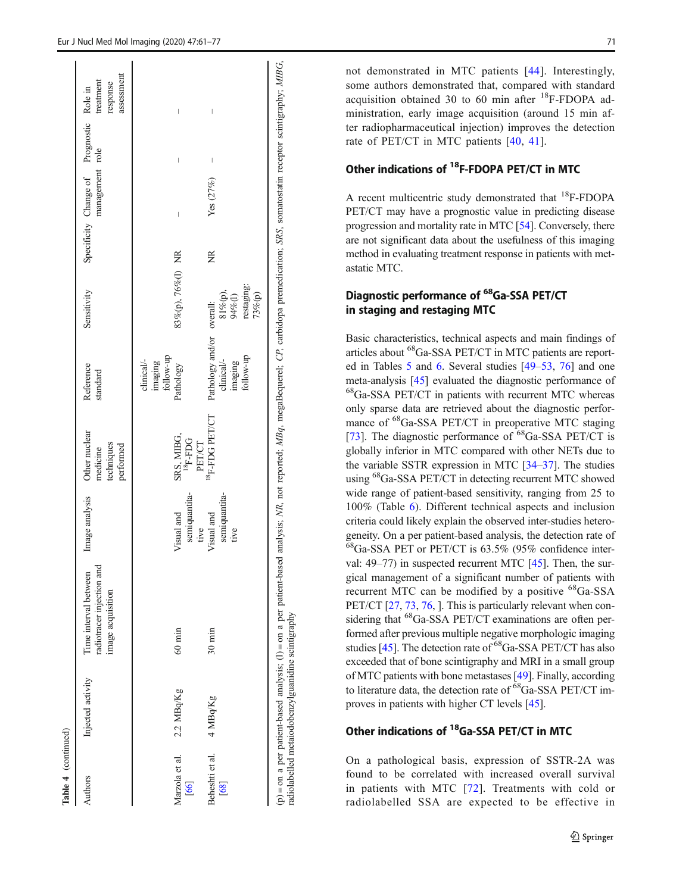|                          | Injected activity | radiotracer injection and<br>Time interval between<br>image acquisition | Image analysis                      | Other nuclear<br>techniques<br>performed<br>medicine                   | Reference<br>standard                                           | Sensitivity                                       |   | Specificity Change of Prognostic Role in<br>management role |                                | assessment<br>treatment<br>response |
|--------------------------|-------------------|-------------------------------------------------------------------------|-------------------------------------|------------------------------------------------------------------------|-----------------------------------------------------------------|---------------------------------------------------|---|-------------------------------------------------------------|--------------------------------|-------------------------------------|
| Marzola et al.<br>$[66]$ | 2.2 MBq/Kg        | $60 \text{ min}$                                                        | semiquantita-<br>Visual and<br>tive | SRS, MIBG,<br>$^{18}\mathrm{F}\text{-}\mathrm{F}\mathrm{DG}$<br>PET/CT | follow-up<br>clinical/-<br>imaging<br>Pathology                 | 83%(p), 76%(l) NR                                 |   | $\begin{array}{c} \end{array}$                              | $\begin{array}{c} \end{array}$ | $\begin{array}{c} \end{array}$      |
| Beheshti et al.<br>[68]  | 4 MBq/Kg          | $30 \text{ min}$                                                        | semiquantita-<br>Visual and<br>tive | $^{18}$ F-FDG PET/CT                                                   | Pathology and/or overall:<br>follow-up<br>clinical/-<br>imaging | restaging:<br>$94\%$ (l)<br>$81\%$ (p),<br>73%(p) | ž | Yes (27%)                                                   | I                              |                                     |

Table 4 (continued)

(continued)

not demonstrated in MTC patients [[44](#page-15-0)]. Interestingly, some authors demonstrated that, compared with standard acquisition obtained 30 to 60 min after  $^{18}$ F-FDOPA administration, early image acquisition (around 15 min after radiopharmaceutical injection) improves the detection rate of PET/CT in MTC patients [\[40](#page-14-0), [41](#page-14-0)].

# Other indications of 18F-FDOPA PET/CT in MTC

A recent multicentric study demonstrated that 18F-FDOPA PET/CT may have a prognostic value in predicting disease progression and mortality rate in MTC [\[54](#page-15-0)]. Conversely, there are not significant data about the usefulness of this imaging method in evaluating treatment response in patients with metastatic MTC.

# Diagnostic performance of <sup>68</sup>Ga-SSA PET/CT in staging and restaging MTC

Basic characteristics, technical aspects and main findings of articles about 68Ga-SSA PET/CT in MTC patients are reported in Tables [5](#page-11-0) and [6](#page-12-0). Several studies [\[49](#page-15-0)–[53](#page-15-0), [76](#page-16-0)] and one meta-analysis [\[45](#page-15-0)] evaluated the diagnostic performance of 68Ga-SSA PET/CT in patients with recurrent MTC whereas only sparse data are retrieved about the diagnostic performance of <sup>68</sup>Ga-SSA PET/CT in preoperative MTC staging [\[73](#page-16-0)]. The diagnostic performance of  ${}^{68}Ga\text{-SSA PET/CT}$  is globally inferior in MTC compared with other NETs due to the variable SSTR expression in MTC [[34](#page-14-0)–[37](#page-14-0)]. The studies using <sup>68</sup>Ga-SSA PET/CT in detecting recurrent MTC showed wide range of patient-based sensitivity, ranging from 25 to 100% (Table [6](#page-12-0)). Different technical aspects and inclusion criteria could likely explain the observed inter-studies heterogeneity. On a per patient-based analysis, the detection rate of  $^{68}$ Ga-SSA PET or PET/CT is 63.5% (95% confidence interval: 49–77) in suspected recurrent MTC [[45](#page-15-0)]. Then, the surgical management of a significant number of patients with recurrent MTC can be modified by a positive <sup>68</sup>Ga-SSA PET/CT [\[27,](#page-14-0) [73](#page-16-0), [76,](#page-16-0) ]. This is particularly relevant when considering that <sup>68</sup>Ga-SSA PET/CT examinations are often performed after previous multiple negative morphologic imaging studies [\[45\]](#page-15-0). The detection rate of 68Ga-SSA PET/CT has also exceeded that of bone scintigraphy and MRI in a small group of MTC patients with bone metastases [[49](#page-15-0)]. Finally, according to literature data, the detection rate of <sup>68</sup>Ga-SSA PET/CT improves in patients with higher CT levels [\[45\]](#page-15-0).

# Other indications of <sup>18</sup>Ga-SSA PET/CT in MTC

On a pathological basis, expression of SSTR-2A was found to be correlated with increased overall survival in patients with MTC [[72](#page-15-0)]. Treatments with cold or radiolabelled SSA are expected to be effective in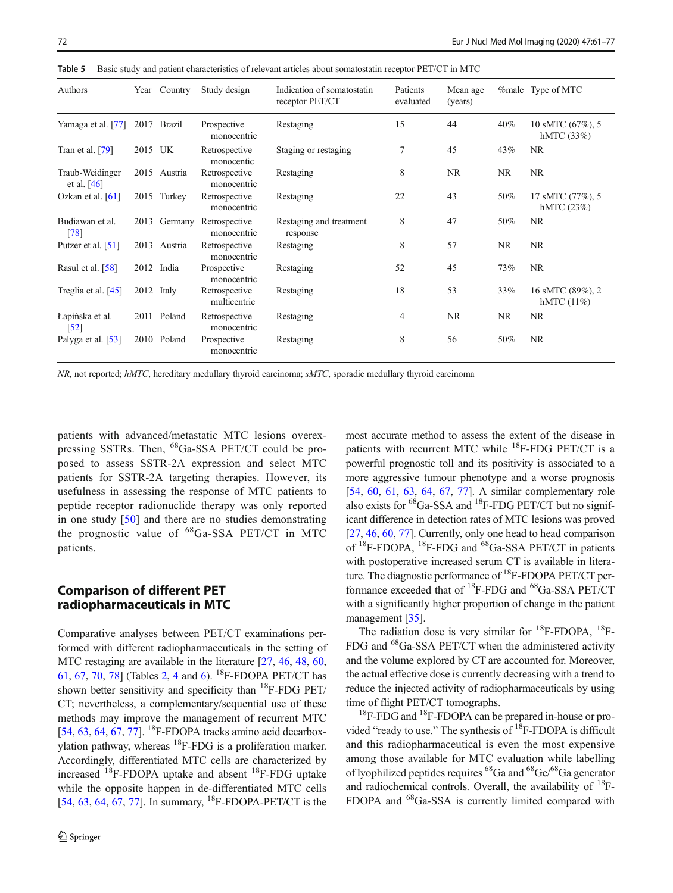| Authors                               | Year    | Country      | Study design                  | Indication of somatostatin<br>receptor PET/CT | Patients<br>evaluated | Mean age<br>(years) |           | <i>%male</i> Type of MTC          |
|---------------------------------------|---------|--------------|-------------------------------|-----------------------------------------------|-----------------------|---------------------|-----------|-----------------------------------|
| Yamaga et al. [77]                    |         | 2017 Brazil  | Prospective<br>monocentric    | Restaging                                     | 15                    | 44                  | 40%       | 10 sMTC (67%), 5<br>hMTC $(33%)$  |
| Tran et al. $[79]$                    | 2015 UK |              | Retrospective<br>monocentic   | Staging or restaging                          | $\tau$                | 45                  | 43%       | NR.                               |
| Traub-Weidinger<br>et al. $[46]$      |         | 2015 Austria | Retrospective<br>monocentric  | Restaging                                     | 8                     | <b>NR</b>           | <b>NR</b> | NR                                |
| Ozkan et al. $[61]$                   |         | 2015 Turkey  | Retrospective<br>monocentric  | Restaging                                     | 22                    | 43                  | 50%       | 17 sMTC (77%), 5<br>hMTC $(23%)$  |
| Budiawan et al.<br>[78]               | 2013    | Germany      | Retrospective<br>monocentric  | Restaging and treatment<br>response           | 8                     | 47                  | 50%       | <b>NR</b>                         |
| Putzer et al. [51]                    | 2013    | Austria      | Retrospective<br>monocentric  | Restaging                                     | 8                     | 57                  | <b>NR</b> | <b>NR</b>                         |
| Rasul et al. [58]                     |         | 2012 India   | Prospective<br>monocentric    | Restaging                                     | 52                    | 45                  | 73%       | NR.                               |
| Treglia et al. [45]                   | 2012    | Italy        | Retrospective<br>multicentric | Restaging                                     | 18                    | 53                  | 33%       | 16 sMTC (89%), 2<br>hMTC $(11\%)$ |
| Łapińska et al.<br>$\lceil 52 \rceil$ |         | 2011 Poland  | Retrospective<br>monocentric  | Restaging                                     | $\overline{4}$        | <b>NR</b>           | <b>NR</b> | NR.                               |
| Palyga et al. [53]                    |         | 2010 Poland  | Prospective<br>monocentric    | Restaging                                     | 8                     | 56                  | 50%       | NR.                               |

<span id="page-11-0"></span>Table 5 Basic study and patient characteristics of relevant articles about somatostatin receptor PET/CT in MTC

NR, not reported; hMTC, hereditary medullary thyroid carcinoma; sMTC, sporadic medullary thyroid carcinoma

patients with advanced/metastatic MTC lesions overexpressing SSTRs. Then, 68Ga-SSA PET/CT could be proposed to assess SSTR-2A expression and select MTC patients for SSTR-2A targeting therapies. However, its usefulness in assessing the response of MTC patients to peptide receptor radionuclide therapy was only reported in one study [[50](#page-15-0)] and there are no studies demonstrating the prognostic value of  ${}^{68}Ga\text{-SSA PET/CT}$  in MTC patients.

# Comparison of different PET radiopharmaceuticals in MTC

Comparative analyses between PET/CT examinations performed with different radiopharmaceuticals in the setting of MTC restaging are available in the literature [\[27](#page-14-0), [46](#page-15-0), [48,](#page-15-0) [60,](#page-15-0) [61,](#page-15-0) [67,](#page-15-0) [70,](#page-15-0) [78\]](#page-16-0) (Tables [2,](#page-6-0) [4](#page-9-0) and [6\)](#page-12-0). 18F-FDOPA PET/CT has shown better sensitivity and specificity than  $^{18}$ F-FDG PET/ CT; nevertheless, a complementary/sequential use of these methods may improve the management of recurrent MTC [\[54,](#page-15-0) [63,](#page-15-0) [64](#page-15-0), [67,](#page-15-0) [77](#page-16-0)]. <sup>18</sup>F-FDOPA tracks amino acid decarboxylation pathway, whereas 18F-FDG is a proliferation marker. Accordingly, differentiated MTC cells are characterized by increased  $^{18}$ F-FDOPA uptake and absent  $^{18}$ F-FDG uptake while the opposite happen in de-differentiated MTC cells [\[54,](#page-15-0) [63,](#page-15-0) [64,](#page-15-0) [67,](#page-15-0) [77\]](#page-16-0). In summary,  $^{18}$ F-FDOPA-PET/CT is the most accurate method to assess the extent of the disease in patients with recurrent MTC while <sup>18</sup>F-FDG PET/CT is a powerful prognostic toll and its positivity is associated to a more aggressive tumour phenotype and a worse prognosis [\[54](#page-15-0), [60](#page-15-0), [61,](#page-15-0) [63,](#page-15-0) [64,](#page-15-0) [67,](#page-15-0) [77\]](#page-16-0). A similar complementary role also exists for  ${}^{68}Ga\text{-SSA}$  and  ${}^{18}F\text{-FDG PET/CT}$  but no significant difference in detection rates of MTC lesions was proved [\[27](#page-14-0), [46,](#page-15-0) [60](#page-15-0), [77\]](#page-16-0). Currently, only one head to head comparison of <sup>18</sup>F-FDOPA, <sup>18</sup>F-FDG and <sup>68</sup>Ga-SSA PET/CT in patients with postoperative increased serum CT is available in literature. The diagnostic performance of  ${}^{18}$ F-FDOPA PET/CT performance exceeded that of 18F-FDG and 68Ga-SSA PET/CT with a significantly higher proportion of change in the patient management [\[35](#page-14-0)].

The radiation dose is very similar for  $^{18}$ F-FDOPA,  $^{18}$ F-FDG and 68Ga-SSA PET/CT when the administered activity and the volume explored by CT are accounted for. Moreover, the actual effective dose is currently decreasing with a trend to reduce the injected activity of radiopharmaceuticals by using time of flight PET/CT tomographs.

 $18$ F-FDG and  $18$ F-FDOPA can be prepared in-house or provided "ready to use." The synthesis of  ${}^{18}F$ -FDOPA is difficult and this radiopharmaceutical is even the most expensive among those available for MTC evaluation while labelling of lyophilized peptides requires 68Ga and 68Ge/68Ga generator and radiochemical controls. Overall, the availability of  $^{18}$ F-FDOPA and 68Ga-SSA is currently limited compared with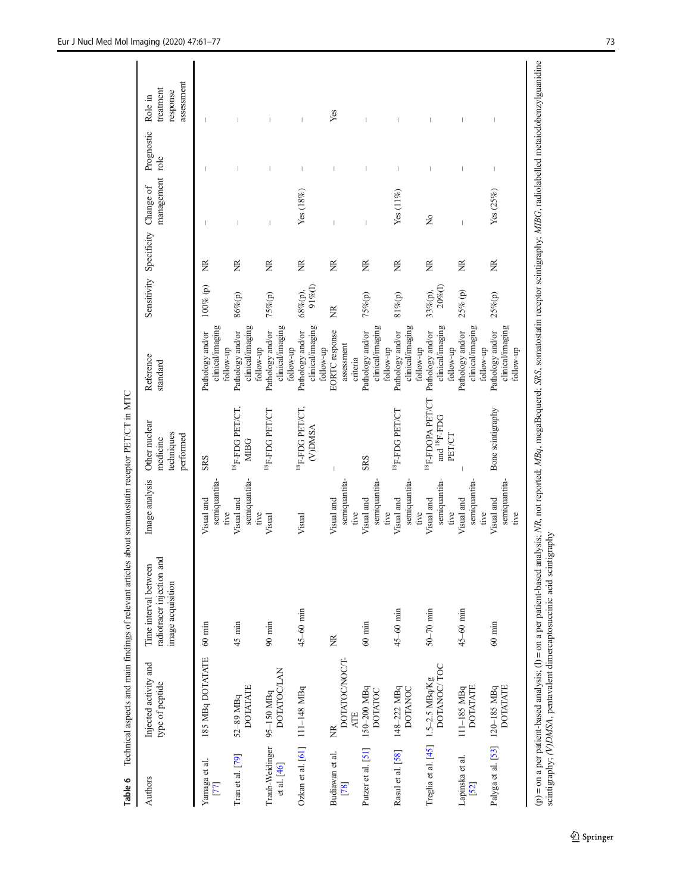<span id="page-12-0"></span>

| unu 1                          |                                                   | $\sim$ . The comparison is the comparison of the comparison of the comparison of the comparison of the comparison of the comparison of the comparison of the comparison of the comparison of the comparison of the comparison o                                                    |                                     |                                                                   |                                                                |                       |                                   |                 |                          |                                                |
|--------------------------------|---------------------------------------------------|------------------------------------------------------------------------------------------------------------------------------------------------------------------------------------------------------------------------------------------------------------------------------------|-------------------------------------|-------------------------------------------------------------------|----------------------------------------------------------------|-----------------------|-----------------------------------|-----------------|--------------------------|------------------------------------------------|
| Authors                        | Injected activity and<br>type of peptide          | radiotracer injection and<br>Time interval between<br>image acquisition                                                                                                                                                                                                            | Image analysis                      | Other nuclear<br>techniques<br>performed<br>medicine              | Reference<br>standard                                          |                       | Sensitivity Specificity Change of | management role | Prognostic               | assessment<br>treatment<br>response<br>Role in |
| Yamaga et al.<br>77            | 185 MBq DOTATATE                                  | $60 \text{ min}$                                                                                                                                                                                                                                                                   | semiquantita-<br>Visual and<br>tive | <b>SRS</b>                                                        | clinical/imaging<br>Pathology and/or<br>follow-up              | 100% (p)              | Z                                 | I               | I                        | T                                              |
| Tran et al. $[79]$             | <b>DOTATATE</b><br>52-89 MBq                      | $45 \text{ min}$                                                                                                                                                                                                                                                                   | semiquantita-<br>Visual and         | $^{18}{\rm F}\text{-}\rm FDG$ $\rm PET/CT,$<br><b>MIBG</b>        | clinical/imaging<br>Pathology and/or                           | $86\%{\rm (p)}$       | Z                                 |                 |                          |                                                |
| Traub-Weidinger<br>et al. [46] | <b>DOTATOC/LAN</b><br>95-150 MBq                  | $90$ min                                                                                                                                                                                                                                                                           | tive<br>Visual                      | $^{18}$ F-FDG PET/CT                                              | clinical/imaging<br>Pathology and/or<br>follow-up              | 75%(p)                | Ĕ                                 |                 |                          |                                                |
| Ozkan et al. [61] 111-148 MBq  |                                                   | $45 - 60$ min                                                                                                                                                                                                                                                                      | Visual                              | <sup>18</sup> F-FDG PET/CT.<br>(V)DMSA                            | clinical/imaging<br>Pathology and/or<br>follow-up<br>follow-up | $91\%$ (l)<br>68%(p), | Ĕ                                 | Yes(18%)        | $\overline{\phantom{a}}$ |                                                |
| Budiawan et al.<br>[78]        | DOTATOC/NOC/T-<br><b>ATE</b><br>ž                 | Ĕ                                                                                                                                                                                                                                                                                  | semiquantita-<br>Visual and<br>tive |                                                                   | <b>EORTC</b> response<br>assessment<br>criteria                | Ĕ                     | Ĕ                                 |                 | I                        | Yes                                            |
| Putzer et al. [51]             | $150-200$ MBq<br><b>DOTATOC</b>                   | $60 \text{ min}$                                                                                                                                                                                                                                                                   | semiquantita-<br>Visual and<br>tive | <b>SRS</b>                                                        | clinical/imaging<br>Pathology and/or<br>follow-up              | 75%(p)                | Ž                                 | T               | T                        |                                                |
| Rasul et al. [58]              | 148-222 MBq<br><b>DOTANOC</b>                     | $45-60$ min                                                                                                                                                                                                                                                                        | semiquantita-<br>Visual and<br>tive | $^{18}{\rm F}\text{-FDG}$ PET/CT                                  | clinical/imaging<br>Pathology and/or                           | $81\%{\rm (p)}$       | Ĕ                                 | Yes(11%)        | $\mathbf{I}$             |                                                |
|                                | DOTANOC/TOC<br>Treglia et al. [45] 1.5-2.5 MBq/Kg | $50-70$ min                                                                                                                                                                                                                                                                        | semiquantita-<br>Visual and<br>tive | <sup>18</sup> F-FDOPA PET/CT<br>and <sup>18</sup> F-FDG<br>PET/CT | clinical/imaging<br>Pathology and/or<br>follow-up<br>follow-up | $20\%$ (l)<br>33%(p), | Ĕ                                 | $\tilde{z}$     |                          |                                                |
| Lapinska et al.<br>$[52]$      | <b>DOTATATE</b><br>111-185 MBq                    | $45 - 60$ min                                                                                                                                                                                                                                                                      | semiquantita-<br>Visual and<br>tive |                                                                   | clinical/imaging<br>Pathology and/or<br>follow-up              | 25% (p)               | Ĕ                                 | Ï               | I                        |                                                |
| Palyga et al. [53] 120-185 MBq | <b>DOTATATE</b>                                   | $60 \text{ min}$                                                                                                                                                                                                                                                                   | semiquantita-<br>Visual and<br>tive | Bone scintigraphy                                                 | clinical/imaging<br>Pathology and/or<br>follow-up              | 25%(p)                | Ĕ                                 | Yes (25%)       | $\mid$                   | I                                              |
|                                |                                                   | (p) = on a per patient-based analysis; (l) = on a per patient-based analysis; NR, not reported; MBq, megaBequerel; SRS, somatostatin receptor scintigraphy; MIBG, radiolabelled metaiodobenzylguanidine<br>scintigraphy; (V)DMSA, pentavalent dimercaptosuccinic acid scintigraphy |                                     |                                                                   |                                                                |                       |                                   |                 |                          |                                                |

Table 6 Technical aspects and main findings of relevant articles about somatostatin recentor  $\text{PET/CT}$  in MTC Table 6 Technical aspects and main findings of relevant articles about somatostatin receptor PET/CT in MTC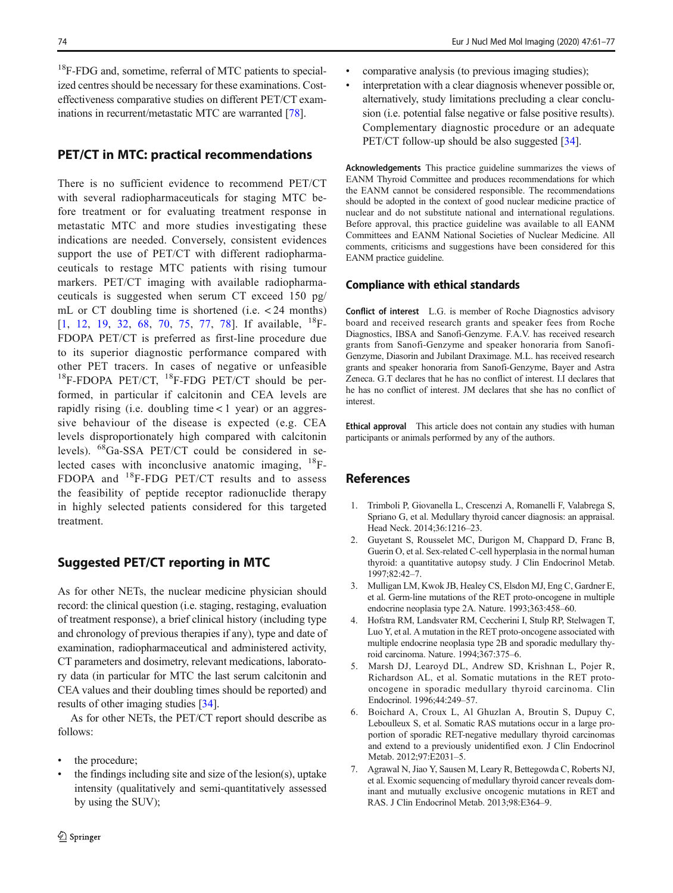<span id="page-13-0"></span><sup>18</sup>F-FDG and, sometime, referral of MTC patients to specialized centres should be necessary for these examinations. Costeffectiveness comparative studies on different PET/CT examinations in recurrent/metastatic MTC are warranted [[78](#page-16-0)].

### PET/CT in MTC: practical recommendations

There is no sufficient evidence to recommend PET/CT with several radiopharmaceuticals for staging MTC before treatment or for evaluating treatment response in metastatic MTC and more studies investigating these indications are needed. Conversely, consistent evidences support the use of PET/CT with different radiopharmaceuticals to restage MTC patients with rising tumour markers. PET/CT imaging with available radiopharmaceuticals is suggested when serum CT exceed 150 pg/ mL or CT doubling time is shortened (i.e. < 24 months) [1, [12,](#page-14-0) [19,](#page-14-0) [32,](#page-14-0) [68](#page-15-0), [70](#page-15-0), [75](#page-16-0), [77,](#page-16-0) [78\]](#page-16-0). If available, <sup>18</sup>F-FDOPA PET/CT is preferred as first-line procedure due to its superior diagnostic performance compared with other PET tracers. In cases of negative or unfeasible  $18$ F-FDOPA PET/CT,  $18$ F-FDG PET/CT should be performed, in particular if calcitonin and CEA levels are rapidly rising (i.e. doubling time  $< 1$  year) or an aggressive behaviour of the disease is expected (e.g. CEA levels disproportionately high compared with calcitonin levels). 68Ga-SSA PET/CT could be considered in selected cases with inconclusive anatomic imaging, 18F-FDOPA and 18F-FDG PET/CT results and to assess the feasibility of peptide receptor radionuclide therapy in highly selected patients considered for this targeted treatment.

# Suggested PET/CT reporting in MTC

As for other NETs, the nuclear medicine physician should record: the clinical question (i.e. staging, restaging, evaluation of treatment response), a brief clinical history (including type and chronology of previous therapies if any), type and date of examination, radiopharmaceutical and administered activity, CT parameters and dosimetry, relevant medications, laboratory data (in particular for MTC the last serum calcitonin and CEA values and their doubling times should be reported) and results of other imaging studies [[34\]](#page-14-0).

As for other NETs, the PET/CT report should describe as follows:

- the procedure;
- the findings including site and size of the lesion(s), uptake intensity (qualitatively and semi-quantitatively assessed by using the SUV);
- & comparative analysis (to previous imaging studies);
- interpretation with a clear diagnosis whenever possible or, alternatively, study limitations precluding a clear conclusion (i.e. potential false negative or false positive results). Complementary diagnostic procedure or an adequate PET/CT follow-up should be also suggested [[34](#page-14-0)].

Acknowledgements This practice guideline summarizes the views of EANM Thyroid Committee and produces recommendations for which the EANM cannot be considered responsible. The recommendations should be adopted in the context of good nuclear medicine practice of nuclear and do not substitute national and international regulations. Before approval, this practice guideline was available to all EANM Committees and EANM National Societies of Nuclear Medicine. All comments, criticisms and suggestions have been considered for this EANM practice guideline.

#### Compliance with ethical standards

Conflict of interest L.G. is member of Roche Diagnostics advisory board and received research grants and speaker fees from Roche Diagnostics, IBSA and Sanofi-Genzyme. F.A.V. has received research grants from Sanofi-Genzyme and speaker honoraria from Sanofi-Genzyme, Diasorin and Jubilant Draximage. M.L. has received research grants and speaker honoraria from Sanofi-Genzyme, Bayer and Astra Zeneca. G.T declares that he has no conflict of interest. I.I declares that he has no conflict of interest. JM declares that she has no conflict of interest.

Ethical approval This article does not contain any studies with human participants or animals performed by any of the authors.

### References

- 1. Trimboli P, Giovanella L, Crescenzi A, Romanelli F, Valabrega S, Spriano G, et al. Medullary thyroid cancer diagnosis: an appraisal. Head Neck. 2014;36:1216–23.
- 2. Guyetant S, Rousselet MC, Durigon M, Chappard D, Franc B, Guerin O, et al. Sex-related C-cell hyperplasia in the normal human thyroid: a quantitative autopsy study. J Clin Endocrinol Metab. 1997;82:42–7.
- 3. Mulligan LM, Kwok JB, Healey CS, Elsdon MJ, Eng C, Gardner E, et al. Germ-line mutations of the RET proto-oncogene in multiple endocrine neoplasia type 2A. Nature. 1993;363:458–60.
- 4. Hofstra RM, Landsvater RM, Ceccherini I, Stulp RP, Stelwagen T, Luo Y, et al. A mutation in the RET proto-oncogene associated with multiple endocrine neoplasia type 2B and sporadic medullary thyroid carcinoma. Nature. 1994;367:375–6.
- 5. Marsh DJ, Learoyd DL, Andrew SD, Krishnan L, Pojer R, Richardson AL, et al. Somatic mutations in the RET protooncogene in sporadic medullary thyroid carcinoma. Clin Endocrinol. 1996;44:249–57.
- 6. Boichard A, Croux L, Al Ghuzlan A, Broutin S, Dupuy C, Leboulleux S, et al. Somatic RAS mutations occur in a large proportion of sporadic RET-negative medullary thyroid carcinomas and extend to a previously unidentified exon. J Clin Endocrinol Metab. 2012;97:E2031–5.
- 7. Agrawal N, Jiao Y, Sausen M, Leary R, Bettegowda C, Roberts NJ, et al. Exomic sequencing of medullary thyroid cancer reveals dominant and mutually exclusive oncogenic mutations in RET and RAS. J Clin Endocrinol Metab. 2013;98:E364–9.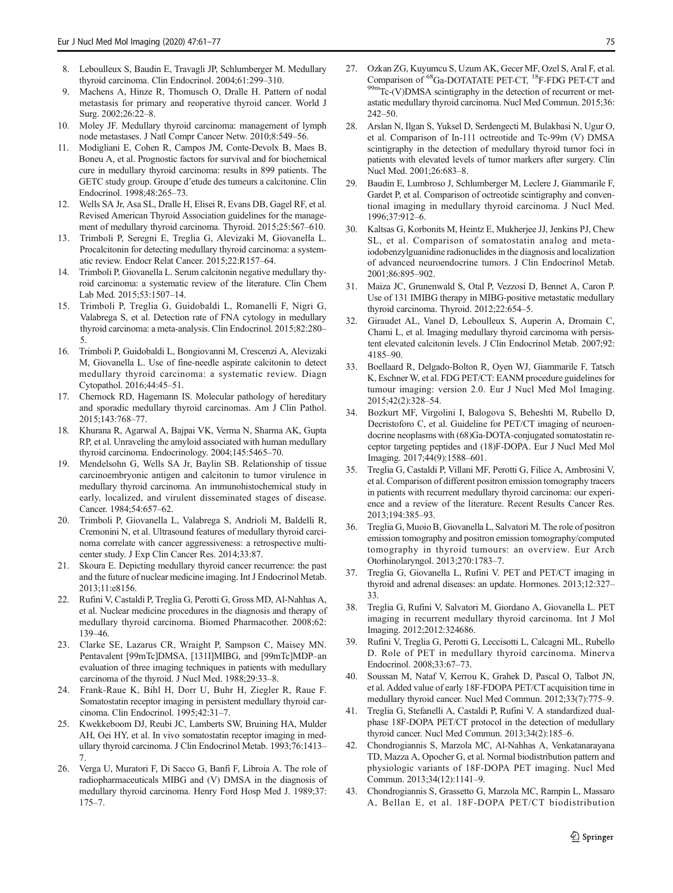- <span id="page-14-0"></span>8. Leboulleux S, Baudin E, Travagli JP, Schlumberger M. Medullary thyroid carcinoma. Clin Endocrinol. 2004;61:299–310.
- 9. Machens A, Hinze R, Thomusch O, Dralle H. Pattern of nodal metastasis for primary and reoperative thyroid cancer. World J Surg. 2002;26:22–8.
- 10. Moley JF. Medullary thyroid carcinoma: management of lymph node metastases. J Natl Compr Cancer Netw. 2010;8:549–56.
- 11. Modigliani E, Cohen R, Campos JM, Conte-Devolx B, Maes B, Boneu A, et al. Prognostic factors for survival and for biochemical cure in medullary thyroid carcinoma: results in 899 patients. The GETC study group. Groupe d'etude des tumeurs a calcitonine. Clin Endocrinol. 1998;48:265–73.
- 12. Wells SA Jr, Asa SL, Dralle H, Elisei R, Evans DB, Gagel RF, et al. Revised American Thyroid Association guidelines for the management of medullary thyroid carcinoma. Thyroid. 2015;25:567–610.
- 13. Trimboli P, Seregni E, Treglia G, Alevizaki M, Giovanella L. Procalcitonin for detecting medullary thyroid carcinoma: a systematic review. Endocr Relat Cancer. 2015;22:R157–64.
- 14. Trimboli P, Giovanella L. Serum calcitonin negative medullary thyroid carcinoma: a systematic review of the literature. Clin Chem Lab Med. 2015;53:1507–14.
- 15. Trimboli P, Treglia G, Guidobaldi L, Romanelli F, Nigri G, Valabrega S, et al. Detection rate of FNA cytology in medullary thyroid carcinoma: a meta-analysis. Clin Endocrinol. 2015;82:280– 5.
- 16. Trimboli P, Guidobaldi L, Bongiovanni M, Crescenzi A, Alevizaki M, Giovanella L. Use of fine-needle aspirate calcitonin to detect medullary thyroid carcinoma: a systematic review. Diagn Cytopathol. 2016;44:45–51.
- 17. Chernock RD, Hagemann IS. Molecular pathology of hereditary and sporadic medullary thyroid carcinomas. Am J Clin Pathol. 2015;143:768–77.
- 18. Khurana R, Agarwal A, Bajpai VK, Verma N, Sharma AK, Gupta RP, et al. Unraveling the amyloid associated with human medullary thyroid carcinoma. Endocrinology. 2004;145:5465–70.
- 19. Mendelsohn G, Wells SA Jr, Baylin SB. Relationship of tissue carcinoembryonic antigen and calcitonin to tumor virulence in medullary thyroid carcinoma. An immunohistochemical study in early, localized, and virulent disseminated stages of disease. Cancer. 1984;54:657–62.
- 20. Trimboli P, Giovanella L, Valabrega S, Andrioli M, Baldelli R, Cremonini N, et al. Ultrasound features of medullary thyroid carcinoma correlate with cancer aggressiveness: a retrospective multicenter study. J Exp Clin Cancer Res. 2014;33:87.
- 21. Skoura E. Depicting medullary thyroid cancer recurrence: the past and the future of nuclear medicine imaging. Int J Endocrinol Metab. 2013;11:e8156.
- 22. Rufini V, Castaldi P, Treglia G, Perotti G, Gross MD, Al-Nahhas A, et al. Nuclear medicine procedures in the diagnosis and therapy of medullary thyroid carcinoma. Biomed Pharmacother. 2008;62: 139–46.
- 23. Clarke SE, Lazarus CR, Wraight P, Sampson C, Maisey MN. Pentavalent [99mTc]DMSA, [131I]MIBG, and [99mTc]MDP–an evaluation of three imaging techniques in patients with medullary carcinoma of the thyroid. J Nucl Med. 1988;29:33–8.
- 24. Frank-Raue K, Bihl H, Dorr U, Buhr H, Ziegler R, Raue F. Somatostatin receptor imaging in persistent medullary thyroid carcinoma. Clin Endocrinol. 1995;42:31–7.
- 25. Kwekkeboom DJ, Reubi JC, Lamberts SW, Bruining HA, Mulder AH, Oei HY, et al. In vivo somatostatin receptor imaging in medullary thyroid carcinoma. J Clin Endocrinol Metab. 1993;76:1413– 7.
- 26. Verga U, Muratori F, Di Sacco G, Banfi F, Libroia A. The role of radiopharmaceuticals MIBG and (V) DMSA in the diagnosis of medullary thyroid carcinoma. Henry Ford Hosp Med J. 1989;37: 175–7.
- 27. Ozkan ZG, Kuyumcu S, Uzum AK, Gecer MF, Ozel S, Aral F, et al. Comparison of  ${}^{68}$ Ga-DOTATATE PET-CT,  ${}^{18}$ F-FDG PET-CT and  ${}^{99m}$ Tc-(V)DMSA scintigraphy in the detection of recurrent or metastatic medullary thyroid carcinoma. Nucl Med Commun. 2015;36: 242–50.
- 28. Arslan N, Ilgan S, Yuksel D, Serdengecti M, Bulakbasi N, Ugur O, et al. Comparison of In-111 octreotide and Tc-99m (V) DMSA scintigraphy in the detection of medullary thyroid tumor foci in patients with elevated levels of tumor markers after surgery. Clin Nucl Med. 2001;26:683–8.
- 29. Baudin E, Lumbroso J, Schlumberger M, Leclere J, Giammarile F, Gardet P, et al. Comparison of octreotide scintigraphy and conventional imaging in medullary thyroid carcinoma. J Nucl Med. 1996;37:912–6.
- 30. Kaltsas G, Korbonits M, Heintz E, Mukherjee JJ, Jenkins PJ, Chew SL, et al. Comparison of somatostatin analog and metaiodobenzylguanidine radionuclides in the diagnosis and localization of advanced neuroendocrine tumors. J Clin Endocrinol Metab. 2001;86:895–902.
- 31. Maiza JC, Grunenwald S, Otal P, Vezzosi D, Bennet A, Caron P. Use of 131 IMIBG therapy in MIBG-positive metastatic medullary thyroid carcinoma. Thyroid. 2012;22:654–5.
- 32. Giraudet AL, Vanel D, Leboulleux S, Auperin A, Dromain C, Chami L, et al. Imaging medullary thyroid carcinoma with persistent elevated calcitonin levels. J Clin Endocrinol Metab. 2007;92: 4185–90.
- 33. Boellaard R, Delgado-Bolton R, Oyen WJ, Giammarile F, Tatsch K, Eschner W, et al. FDG PET/CT: EANM procedure guidelines for tumour imaging: version 2.0. Eur J Nucl Med Mol Imaging. 2015;42(2):328–54.
- 34. Bozkurt MF, Virgolini I, Balogova S, Beheshti M, Rubello D, Decristoforo C, et al. Guideline for PET/CT imaging of neuroendocrine neoplasms with (68)Ga-DOTA-conjugated somatostatin receptor targeting peptides and (18)F-DOPA. Eur J Nucl Med Mol Imaging. 2017;44(9):1588–601.
- 35. Treglia G, Castaldi P, Villani MF, Perotti G, Filice A, Ambrosini V, et al. Comparison of different positron emission tomography tracers in patients with recurrent medullary thyroid carcinoma: our experience and a review of the literature. Recent Results Cancer Res. 2013;194:385–93.
- 36. Treglia G, Muoio B, Giovanella L, Salvatori M. The role of positron emission tomography and positron emission tomography/computed tomography in thyroid tumours: an overview. Eur Arch Otorhinolaryngol. 2013;270:1783–7.
- 37. Treglia G, Giovanella L, Rufini V. PET and PET/CT imaging in thyroid and adrenal diseases: an update. Hormones. 2013;12:327– 33.
- 38. Treglia G, Rufini V, Salvatori M, Giordano A, Giovanella L. PET imaging in recurrent medullary thyroid carcinoma. Int J Mol Imaging. 2012;2012:324686.
- 39. Rufini V, Treglia G, Perotti G, Leccisotti L, Calcagni ML, Rubello D. Role of PET in medullary thyroid carcinoma. Minerva Endocrinol. 2008;33:67–73.
- 40. Soussan M, Nataf V, Kerrou K, Grahek D, Pascal O, Talbot JN, et al. Added value of early 18F-FDOPA PET/CT acquisition time in medullary thyroid cancer. Nucl Med Commun. 2012;33(7):775–9.
- 41. Treglia G, Stefanelli A, Castaldi P, Rufini V. A standardized dualphase 18F-DOPA PET/CT protocol in the detection of medullary thyroid cancer. Nucl Med Commun. 2013;34(2):185–6.
- 42. Chondrogiannis S, Marzola MC, Al-Nahhas A, Venkatanarayana TD, Mazza A, Opocher G, et al. Normal biodistribution pattern and physiologic variants of 18F-DOPA PET imaging. Nucl Med Commun. 2013;34(12):1141–9.
- 43. Chondrogiannis S, Grassetto G, Marzola MC, Rampin L, Massaro A, Bellan E, et al. 18F-DOPA PET/CT biodistribution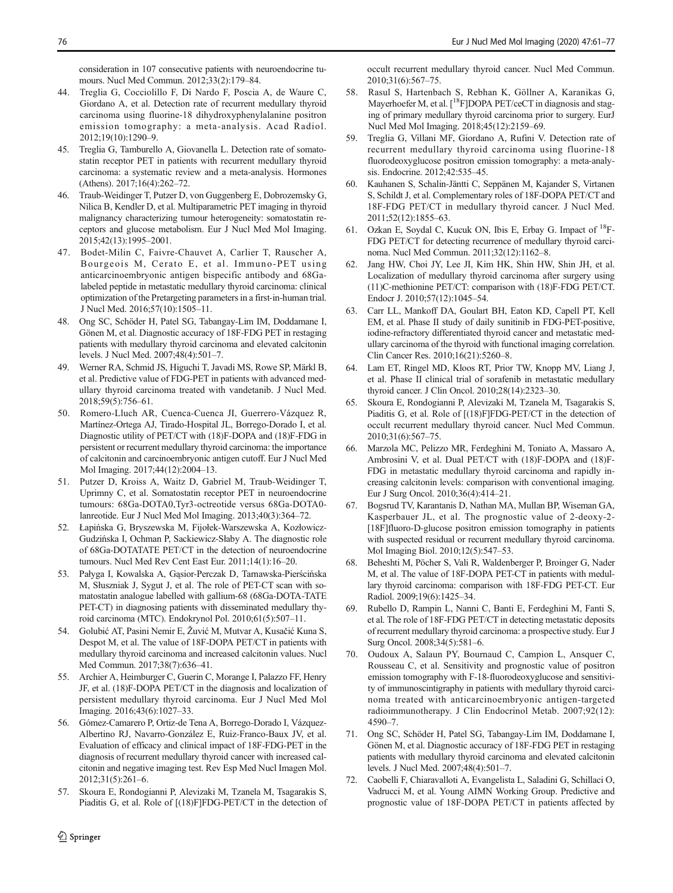<span id="page-15-0"></span>consideration in 107 consecutive patients with neuroendocrine tumours. Nucl Med Commun. 2012;33(2):179–84.

- 44. Treglia G, Cocciolillo F, Di Nardo F, Poscia A, de Waure C, Giordano A, et al. Detection rate of recurrent medullary thyroid carcinoma using fluorine-18 dihydroxyphenylalanine positron emission tomography: a meta-analysis. Acad Radiol. 2012;19(10):1290–9.
- 45. Treglia G, Tamburello A, Giovanella L. Detection rate of somatostatin receptor PET in patients with recurrent medullary thyroid carcinoma: a systematic review and a meta-analysis. Hormones (Athens). 2017;16(4):262–72.
- 46. Traub-Weidinger T, Putzer D, von Guggenberg E, Dobrozemsky G, Nilica B, Kendler D, et al. Multiparametric PET imaging in thyroid malignancy characterizing tumour heterogeneity: somatostatin receptors and glucose metabolism. Eur J Nucl Med Mol Imaging. 2015;42(13):1995–2001.
- 47. Bodet-Milin C, Faivre-Chauvet A, Carlier T, Rauscher A, Bourgeois M, Cerato E, et al. Immuno-PET using anticarcinoembryonic antigen bispecific antibody and 68Galabeled peptide in metastatic medullary thyroid carcinoma: clinical optimization of the Pretargeting parameters in a first-in-human trial. J Nucl Med. 2016;57(10):1505–11.
- 48. Ong SC, Schöder H, Patel SG, Tabangay-Lim IM, Doddamane I, Gönen M, et al. Diagnostic accuracy of 18F-FDG PET in restaging patients with medullary thyroid carcinoma and elevated calcitonin levels. J Nucl Med. 2007;48(4):501–7.
- 49. Werner RA, Schmid JS, Higuchi T, Javadi MS, Rowe SP, Märkl B, et al. Predictive value of FDG-PET in patients with advanced medullary thyroid carcinoma treated with vandetanib. J Nucl Med. 2018;59(5):756–61.
- 50. Romero-Lluch AR, Cuenca-Cuenca JI, Guerrero-Vázquez R, Martínez-Ortega AJ, Tirado-Hospital JL, Borrego-Dorado I, et al. Diagnostic utility of PET/CT with (18)F-DOPA and (18)F-FDG in persistent or recurrent medullary thyroid carcinoma: the importance of calcitonin and carcinoembryonic antigen cutoff. Eur J Nucl Med Mol Imaging. 2017;44(12):2004–13.
- 51. Putzer D, Kroiss A, Waitz D, Gabriel M, Traub-Weidinger T, Uprimny C, et al. Somatostatin receptor PET in neuroendocrine tumours: 68Ga-DOTA0,Tyr3-octreotide versus 68Ga-DOTA0 lanreotide. Eur J Nucl Med Mol Imaging. 2013;40(3):364–72.
- 52. Łapińska G, Bryszewska M, Fijołek-Warszewska A, Kozłowicz-Gudzińska I, Ochman P, Sackiewicz-Słaby A. The diagnostic role of 68Ga-DOTATATE PET/CT in the detection of neuroendocrine tumours. Nucl Med Rev Cent East Eur. 2011;14(1):16–20.
- 53. Pałyga I, Kowalska A, Gąsior-Perczak D, Tarnawska-Pierścińska M, Słuszniak J, Sygut J, et al. The role of PET-CT scan with somatostatin analogue labelled with gallium-68 (68Ga-DOTA-TATE PET-CT) in diagnosing patients with disseminated medullary thyroid carcinoma (MTC). Endokrynol Pol. 2010;61(5):507–11.
- 54. Golubić AT, Pasini Nemir E, Žuvić M, Mutvar A, Kusačić Kuna S, Despot M, et al. The value of 18F-DOPA PET/CT in patients with medullary thyroid carcinoma and increased calcitonin values. Nucl Med Commun. 2017;38(7):636–41.
- 55. Archier A, Heimburger C, Guerin C, Morange I, Palazzo FF, Henry JF, et al. (18)F-DOPA PET/CT in the diagnosis and localization of persistent medullary thyroid carcinoma. Eur J Nucl Med Mol Imaging. 2016;43(6):1027–33.
- 56. Gómez-Camarero P, Ortiz-de Tena A, Borrego-Dorado I, Vázquez-Albertino RJ, Navarro-González E, Ruiz-Franco-Baux JV, et al. Evaluation of efficacy and clinical impact of 18F-FDG-PET in the diagnosis of recurrent medullary thyroid cancer with increased calcitonin and negative imaging test. Rev Esp Med Nucl Imagen Mol. 2012;31(5):261–6.
- 57. Skoura E, Rondogianni P, Alevizaki M, Tzanela M, Tsagarakis S, Piaditis G, et al. Role of [(18)F]FDG-PET/CT in the detection of

occult recurrent medullary thyroid cancer. Nucl Med Commun. 2010;31(6):567–75.

- 58. Rasul S, Hartenbach S, Rebhan K, Göllner A, Karanikas G, Mayerhoefer M, et al.  $[{}^{18}$ F]DOPA PET/ceCT in diagnosis and staging of primary medullary thyroid carcinoma prior to surgery. EurJ Nucl Med Mol Imaging. 2018;45(12):2159–69.
- 59. Treglia G, Villani MF, Giordano A, Rufini V. Detection rate of recurrent medullary thyroid carcinoma using fluorine-18 fluorodeoxyglucose positron emission tomography: a meta-analysis. Endocrine. 2012;42:535–45.
- 60. Kauhanen S, Schalin-Jäntti C, Seppänen M, Kajander S, Virtanen S, Schildt J, et al. Complementary roles of 18F-DOPA PET/CT and 18F-FDG PET/CT in medullary thyroid cancer. J Nucl Med. 2011;52(12):1855–63.
- 61. Ozkan E, Soydal C, Kucuk ON, Ibis E, Erbay G. Impact of 18F-FDG PET/CT for detecting recurrence of medullary thyroid carcinoma. Nucl Med Commun. 2011;32(12):1162–8.
- 62. Jang HW, Choi JY, Lee JI, Kim HK, Shin HW, Shin JH, et al. Localization of medullary thyroid carcinoma after surgery using (11)C-methionine PET/CT: comparison with (18)F-FDG PET/CT. Endocr J. 2010;57(12):1045–54.
- 63. Carr LL, Mankoff DA, Goulart BH, Eaton KD, Capell PT, Kell EM, et al. Phase II study of daily sunitinib in FDG-PET-positive, iodine-refractory differentiated thyroid cancer and metastatic medullary carcinoma of the thyroid with functional imaging correlation. Clin Cancer Res. 2010;16(21):5260–8.
- 64. Lam ET, Ringel MD, Kloos RT, Prior TW, Knopp MV, Liang J, et al. Phase II clinical trial of sorafenib in metastatic medullary thyroid cancer. J Clin Oncol. 2010;28(14):2323–30.
- 65. Skoura E, Rondogianni P, Alevizaki M, Tzanela M, Tsagarakis S, Piaditis G, et al. Role of [(18)F]FDG-PET/CT in the detection of occult recurrent medullary thyroid cancer. Nucl Med Commun. 2010;31(6):567–75.
- 66. Marzola MC, Pelizzo MR, Ferdeghini M, Toniato A, Massaro A, Ambrosini V, et al. Dual PET/CT with (18)F-DOPA and (18)F-FDG in metastatic medullary thyroid carcinoma and rapidly increasing calcitonin levels: comparison with conventional imaging. Eur J Surg Oncol. 2010;36(4):414–21.
- 67. Bogsrud TV, Karantanis D, Nathan MA, Mullan BP, Wiseman GA, Kasperbauer JL, et al. The prognostic value of 2-deoxy-2- [18F]fluoro-D-glucose positron emission tomography in patients with suspected residual or recurrent medullary thyroid carcinoma. Mol Imaging Biol. 2010;12(5):547–53.
- 68. Beheshti M, Pöcher S, Vali R, Waldenberger P, Broinger G, Nader M, et al. The value of 18F-DOPA PET-CT in patients with medullary thyroid carcinoma: comparison with 18F-FDG PET-CT. Eur Radiol. 2009;19(6):1425–34.
- 69. Rubello D, Rampin L, Nanni C, Banti E, Ferdeghini M, Fanti S, et al. The role of 18F-FDG PET/CT in detecting metastatic deposits of recurrent medullary thyroid carcinoma: a prospective study. Eur J Surg Oncol. 2008;34(5):581–6.
- 70. Oudoux A, Salaun PY, Bournaud C, Campion L, Ansquer C, Rousseau C, et al. Sensitivity and prognostic value of positron emission tomography with F-18-fluorodeoxyglucose and sensitivity of immunoscintigraphy in patients with medullary thyroid carcinoma treated with anticarcinoembryonic antigen-targeted radioimmunotherapy. J Clin Endocrinol Metab. 2007;92(12): 4590–7.
- 71. Ong SC, Schöder H, Patel SG, Tabangay-Lim IM, Doddamane I, Gönen M, et al. Diagnostic accuracy of 18F-FDG PET in restaging patients with medullary thyroid carcinoma and elevated calcitonin levels. J Nucl Med. 2007;48(4):501–7.
- 72. Caobelli F, Chiaravalloti A, Evangelista L, Saladini G, Schillaci O, Vadrucci M, et al. Young AIMN Working Group. Predictive and prognostic value of 18F-DOPA PET/CT in patients affected by